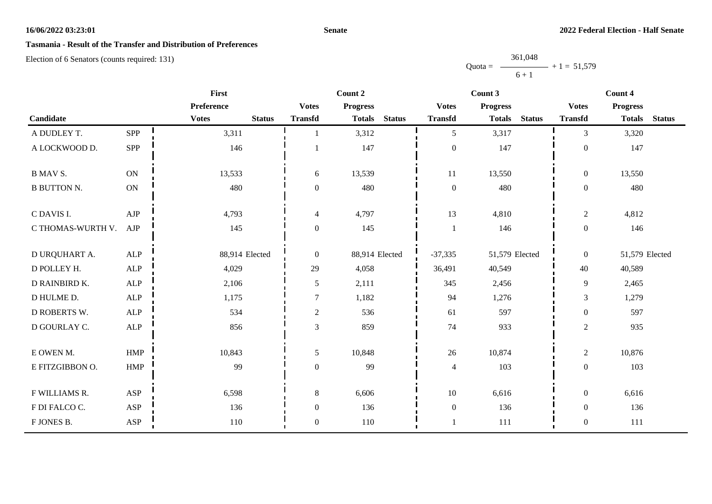## **Senate**

# **Tasmania - Result of the Transfer and Distribution of Preferences**

Election of 6 Senators (counts required: 131)

Quota = 361,048  $6 + 1$  $+ 1 = 51,579$ 

|                     | First         |                               |                  | Count 2                        |                  | Count 3                        | Count 4          |                                |  |
|---------------------|---------------|-------------------------------|------------------|--------------------------------|------------------|--------------------------------|------------------|--------------------------------|--|
|                     |               | Preference                    | <b>Votes</b>     | <b>Progress</b>                | <b>Votes</b>     | <b>Progress</b>                | <b>Votes</b>     | <b>Progress</b>                |  |
| Candidate           |               | <b>Votes</b><br><b>Status</b> | <b>Transfd</b>   | <b>Status</b><br><b>Totals</b> | <b>Transfd</b>   | <b>Totals</b><br><b>Status</b> | <b>Transfd</b>   | <b>Status</b><br><b>Totals</b> |  |
| A DUDLEY T.         | <b>SPP</b>    | 3,311                         |                  | 3,312                          | 5                | 3,317                          | 3                | 3,320                          |  |
| A LOCKWOOD D.       | SPP           | 146                           |                  | 147                            | $\boldsymbol{0}$ | 147                            | $\boldsymbol{0}$ | 147                            |  |
| <b>B MAV S.</b>     | ON            | 13,533                        | 6                | 13,539                         | 11               | 13,550                         | $\mathbf{0}$     | 13,550                         |  |
| <b>B BUTTON N.</b>  | $\mathbf{ON}$ | 480                           | $\overline{0}$   | 480                            | $\boldsymbol{0}$ | 480                            | $\boldsymbol{0}$ | 480                            |  |
| C DAVIS I.          | AJP           | 4,793                         | $\overline{4}$   | 4,797                          | 13               | 4,810                          | $\overline{2}$   | 4,812                          |  |
| C THOMAS-WURTH V.   | AJP           | 145                           | $\boldsymbol{0}$ | 145                            | $\mathbf{1}$     | 146                            | $\boldsymbol{0}$ | 146                            |  |
| D URQUHART A.       | <b>ALP</b>    | 88,914 Elected                | $\boldsymbol{0}$ | 88,914 Elected                 | $-37,335$        | 51,579 Elected                 | $\mathbf{0}$     | 51,579 Elected                 |  |
| D POLLEY H.         | <b>ALP</b>    | 4,029                         | 29               | 4,058                          | 36,491           | 40,549                         | 40               | 40,589                         |  |
| D RAINBIRD K.       | $\mbox{ALP}$  | 2,106                         | 5                | 2,111                          | 345              | 2,456                          | 9                | 2,465                          |  |
| D HULME D.          | <b>ALP</b>    | 1,175                         | $\overline{7}$   | 1,182                          | 94               | 1,276                          | 3                | 1,279                          |  |
| <b>D ROBERTS W.</b> | ALP           | 534                           | $\overline{2}$   | 536                            | 61               | 597                            | $\boldsymbol{0}$ | 597                            |  |
| D GOURLAY C.        | ALP           | 856                           | 3                | 859                            | $74\,$           | 933                            | $\overline{2}$   | 935                            |  |
| E OWEN M.           | HMP           | 10,843                        | 5                | 10,848                         | $26\,$           | 10,874                         | $\overline{c}$   | 10,876                         |  |
| E FITZGIBBON O.     | HMP           | 99                            | $\overline{0}$   | 99                             | $\overline{4}$   | 103                            | $\boldsymbol{0}$ | 103                            |  |
| F WILLIAMS R.       | ASP           | 6,598                         | 8                | 6,606                          | 10               | 6,616                          | $\mathbf{0}$     | 6,616                          |  |
| F DI FALCO C.       | ASP           | 136                           | $\boldsymbol{0}$ | 136                            | $\boldsymbol{0}$ | 136                            | $\overline{0}$   | 136                            |  |
| F JONES B.          | ASP           | 110                           | $\boldsymbol{0}$ | 110                            | $\mathbf{1}$     | 111                            | $\boldsymbol{0}$ | 111                            |  |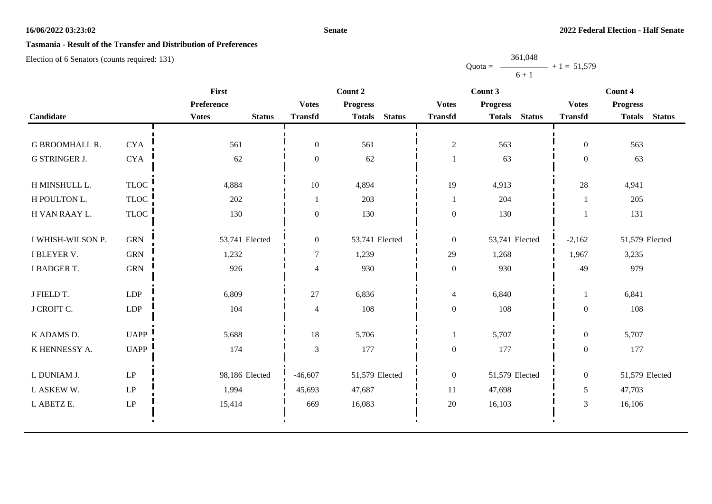## **Senate**

# **Tasmania - Result of the Transfer and Distribution of Preferences**

Election of 6 Senators (counts required: 131)

Quota =  $-$ 361,048  $6 + 1$  $+ 1 = 51,579$ 

|                       |                        | <b>First</b>                  |                  | Count 2                        |                  | Count 3                        | Count 4          |                                |
|-----------------------|------------------------|-------------------------------|------------------|--------------------------------|------------------|--------------------------------|------------------|--------------------------------|
|                       |                        | Preference                    | <b>Votes</b>     | <b>Progress</b>                | <b>Votes</b>     | <b>Progress</b>                | <b>Votes</b>     | <b>Progress</b>                |
| Candidate             |                        | <b>Votes</b><br><b>Status</b> | <b>Transfd</b>   | <b>Status</b><br><b>Totals</b> | <b>Transfd</b>   | <b>Totals</b><br><b>Status</b> | <b>Transfd</b>   | <b>Totals</b><br><b>Status</b> |
|                       |                        |                               |                  |                                |                  |                                |                  |                                |
| <b>G BROOMHALL R.</b> | <b>CYA</b>             | 561                           | $\mathbf{0}$     | 561                            | $\sqrt{2}$       | 563                            | $\overline{0}$   | 563                            |
| G STRINGER J.         | ${\rm CYA}$            | 62                            | $\boldsymbol{0}$ | 62                             |                  | 63                             | $\boldsymbol{0}$ | 63                             |
| H MINSHULL L.         | <b>TLOC</b>            | 4,884                         | 10               | 4,894                          | 19               | 4,913                          | 28               | 4,941                          |
| H POULTON L.          | <b>TLOC</b>            | 202                           | $\overline{1}$   | 203                            | $\mathbf{1}$     | 204                            |                  | 205                            |
| H VAN RAAY L.         | TLOC                   | 130                           | $\boldsymbol{0}$ | 130                            | $\boldsymbol{0}$ | 130                            |                  | 131                            |
| I WHISH-WILSON P.     | <b>GRN</b>             | 53,741 Elected                | $\overline{0}$   | 53,741 Elected                 | $\boldsymbol{0}$ | 53,741 Elected                 | $-2,162$         | 51,579 Elected                 |
| I BLEYER V.           | <b>GRN</b>             | 1,232                         | $\overline{7}$   | 1,239                          | 29               | 1,268                          | 1,967            | 3,235                          |
| I BADGER T.           | <b>GRN</b>             | 926                           | $\overline{4}$   | 930                            | $\boldsymbol{0}$ | 930                            | 49               | 979                            |
| J FIELD T.            | <b>LDP</b>             | 6,809                         | 27               | 6,836                          | $\overline{4}$   | 6,840                          | 1                | 6,841                          |
| J CROFT C.            | LDP                    | 104                           | $\overline{4}$   | 108                            | $\boldsymbol{0}$ | 108                            | $\mathbf{0}$     | 108                            |
| K ADAMS D.            | <b>UAPP</b>            | 5,688                         | 18               | 5,706                          | 1                | 5,707                          | $\boldsymbol{0}$ | 5,707                          |
| K HENNESSY A.         | <b>UAPP</b>            | 174                           | $\mathfrak{Z}$   | 177                            | $\boldsymbol{0}$ | 177                            | $\boldsymbol{0}$ | 177                            |
| L DUNIAM J.           | $\mathrm{L}\mathrm{P}$ | 98,186 Elected                | $-46,607$        | 51,579 Elected                 | $\boldsymbol{0}$ | 51,579 Elected                 | $\overline{0}$   | 51,579 Elected                 |
| L ASKEW W.            | $\mathbf{L}\mathbf{P}$ | 1,994                         | 45,693           | 47,687                         | 11               | 47,698                         | 5                | 47,703                         |
| L ABETZ E.            | $\operatorname{LP}$    | 15,414                        | 669              | 16,083                         | 20               | 16,103                         | 3                | 16,106                         |
|                       |                        |                               |                  |                                |                  |                                |                  |                                |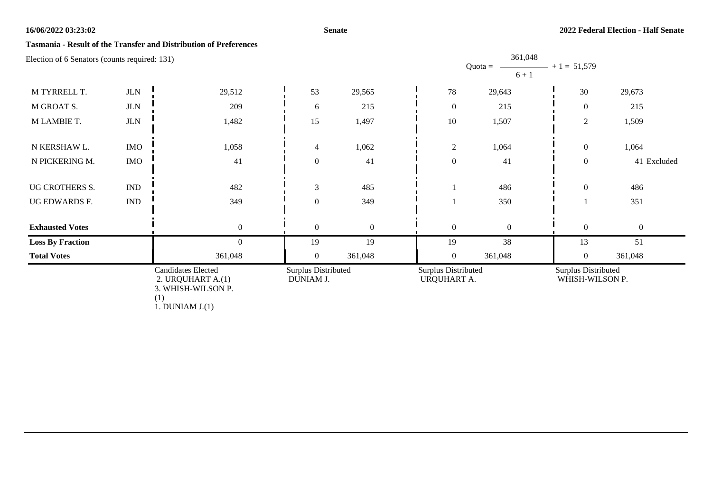#### **Senate**

## **Tasmania - Result of the Transfer and Distribution of Preferences**

| Election of 6 Senators (counts required: 131)                        |                             |                                  |                  |                                                  |                  | 361,048<br>$Quota =$<br>$6 + 1$               | $+1 = 51,579$    |                  |
|----------------------------------------------------------------------|-----------------------------|----------------------------------|------------------|--------------------------------------------------|------------------|-----------------------------------------------|------------------|------------------|
| M TYRRELL T.                                                         | $_{\rm JLN}$                | 29,512                           | 53               | 29,565                                           | $78\,$           | 29,643                                        | 30               | 29,673           |
| M GROAT S.                                                           | $_{\rm JLN}$                | 209                              | 6                | 215                                              | $\boldsymbol{0}$ | 215                                           | $\overline{0}$   | 215              |
| M LAMBIE T.                                                          | $_{\rm JLN}$                | 1,482                            | 15               | 1,497                                            | $10\,$           | 1,507                                         | 2                | 1,509            |
| N KERSHAW L.                                                         | $\rm{IMO}$                  | 1,058                            | $\overline{4}$   | 1,062                                            | $\sqrt{2}$       | 1,064                                         | $\overline{0}$   | 1,064            |
| N PICKERING M.                                                       | <b>IMO</b>                  | 41                               | $\overline{0}$   | 41                                               | $\boldsymbol{0}$ | 41                                            | $\mathbf{0}$     | 41 Excluded      |
| UG CROTHERS S.                                                       | <b>IND</b>                  | 482                              | 3                | 485                                              |                  | 486                                           | $\mathbf{0}$     | 486              |
| UG EDWARDS F.                                                        | $\mathop{\rm IND}\nolimits$ | 349                              | $\overline{0}$   | 349                                              |                  | 350                                           |                  | 351              |
| <b>Exhausted Votes</b>                                               |                             | $\boldsymbol{0}$                 | $\boldsymbol{0}$ | $\boldsymbol{0}$                                 | $\boldsymbol{0}$ | $\overline{0}$                                | $\boldsymbol{0}$ | $\boldsymbol{0}$ |
| <b>Loss By Fraction</b>                                              |                             | $\Omega$                         | 19               | 19                                               | 19               | 38                                            | 13               | 51               |
| <b>Total Votes</b>                                                   |                             | 361,048                          | $\overline{0}$   | 361,048                                          | $\overline{0}$   | 361,048                                       | $\overline{0}$   | 361,048          |
| <b>Candidates Elected</b><br>2. URQUHART A.(1)<br>3. WHISH-WILSON P. |                             | Surplus Distributed<br>DUNIAM J. |                  | <b>Surplus Distributed</b><br><b>URQUHART A.</b> |                  | <b>Surplus Distributed</b><br>WHISH-WILSON P. |                  |                  |

(1)

1. DUNIAM J.(1)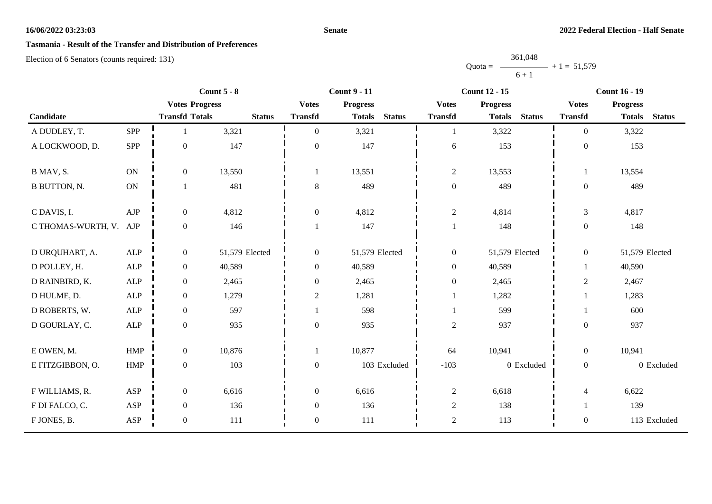## **Senate**

# **Tasmania - Result of the Transfer and Distribution of Preferences**

Election of 6 Senators (counts required: 131)

Quota = 361,048  $6 + 1$  $+ 1 = 51,579$ 

|                        |             | Count $5 - 8$         |                | <b>Count 9 - 11</b> |                 | <b>Count 12 - 15</b> |                  |                 | Count $16 - 19$ |                  |                 |               |
|------------------------|-------------|-----------------------|----------------|---------------------|-----------------|----------------------|------------------|-----------------|-----------------|------------------|-----------------|---------------|
|                        |             | <b>Votes Progress</b> |                | <b>Votes</b>        | <b>Progress</b> |                      | <b>Votes</b>     | <b>Progress</b> |                 | <b>Votes</b>     | <b>Progress</b> |               |
| Candidate              |             | <b>Transfd Totals</b> | <b>Status</b>  | <b>Transfd</b>      | <b>Totals</b>   | <b>Status</b>        | <b>Transfd</b>   | <b>Totals</b>   | <b>Status</b>   | <b>Transfd</b>   | <b>Totals</b>   | <b>Status</b> |
| A DUDLEY, T.           | SPP         |                       | 3,321          | $\Omega$            | 3,321           |                      |                  | 3,322           |                 | $\Omega$         | 3,322           |               |
| A LOCKWOOD, D.         | SPP         | $\mathbf{0}$          | 147            | $\boldsymbol{0}$    | 147             |                      | 6                | 153             |                 | $\mathbf{0}$     | 153             |               |
| B MAV, S.              | <b>ON</b>   | $\boldsymbol{0}$      | 13,550         |                     | 13,551          |                      | $\sqrt{2}$       | 13,553          |                 | 1                | 13,554          |               |
| <b>B BUTTON, N.</b>    | ON          | 1                     | 481            | $8\phantom{1}$      | 489             |                      | $\boldsymbol{0}$ | 489             |                 | $\boldsymbol{0}$ | 489             |               |
| C DAVIS, I.            | ${\rm AJP}$ | $\boldsymbol{0}$      | 4,812          | $\boldsymbol{0}$    | 4,812           |                      | $\mathbf{2}$     | 4,814           |                 | $\mathfrak{Z}$   | 4,817           |               |
| C THOMAS-WURTH, V. AJP |             | $\boldsymbol{0}$      | 146            |                     | 147             |                      |                  | 148             |                 | $\boldsymbol{0}$ | 148             |               |
| D URQUHART, A.         | ALP         | $\boldsymbol{0}$      | 51,579 Elected | $\boldsymbol{0}$    | 51,579 Elected  |                      | $\boldsymbol{0}$ | 51,579 Elected  |                 | $\overline{0}$   | 51,579 Elected  |               |
| D POLLEY, H.           | ALP         | $\boldsymbol{0}$      | 40,589         | $\mathbf{0}$        | 40,589          |                      | $\boldsymbol{0}$ | 40,589          |                 |                  | 40,590          |               |
| D RAINBIRD, K.         | ${\sf ALP}$ | $\boldsymbol{0}$      | 2,465          | $\boldsymbol{0}$    | 2,465           |                      | $\boldsymbol{0}$ | 2,465           |                 | $\overline{c}$   | 2,467           |               |
| D HULME, D.            | ${\sf ALP}$ | $\boldsymbol{0}$      | 1,279          | $\mathbf{2}$        | 1,281           |                      |                  | 1,282           |                 |                  | 1,283           |               |
| D ROBERTS, W.          | <b>ALP</b>  | $\boldsymbol{0}$      | 597            |                     | 598             |                      |                  | 599             |                 |                  | 600             |               |
| D GOURLAY, C.          | ${\sf ALP}$ | $\boldsymbol{0}$      | 935            | $\boldsymbol{0}$    | 935             |                      | $\sqrt{2}$       | 937             |                 | $\overline{0}$   | 937             |               |
| E OWEN, M.             | HMP         | $\boldsymbol{0}$      | 10,876         | $\mathbf{1}$        | 10,877          |                      | 64               | 10,941          |                 | $\overline{0}$   | 10,941          |               |
| E FITZGIBBON, O.       | HMP         | $\boldsymbol{0}$      | 103            | $\boldsymbol{0}$    |                 | 103 Excluded         | $-103$           |                 | 0 Excluded      | $\mathbf{0}$     |                 | 0 Excluded    |
| F WILLIAMS, R.         | ASP         | $\boldsymbol{0}$      | 6,616          | $\mathbf{0}$        | 6,616           |                      | $\sqrt{2}$       | 6,618           |                 | $\overline{4}$   | 6,622           |               |
| F DI FALCO, C.         | ASP         | $\boldsymbol{0}$      | 136            | $\boldsymbol{0}$    | 136             |                      | $\mathbf{2}$     | 138             |                 |                  | 139             |               |
| F JONES, B.            | ASP         | $\boldsymbol{0}$      | 111            | $\boldsymbol{0}$    | 111             |                      | $\overline{c}$   | 113             |                 | $\boldsymbol{0}$ |                 | 113 Excluded  |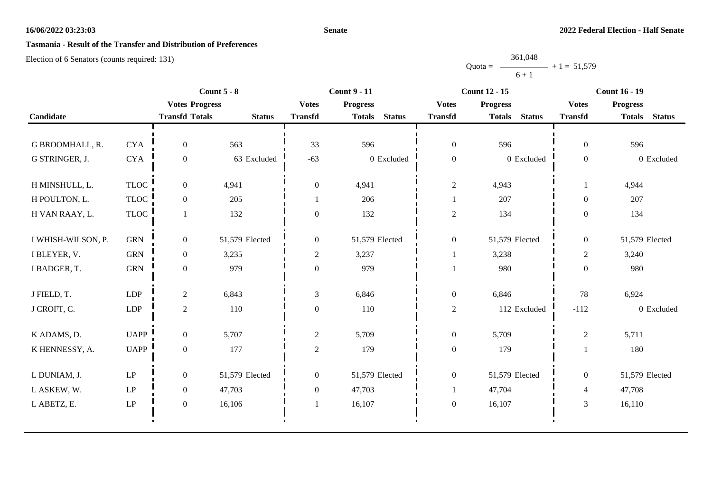## **Senate**

# **Tasmania - Result of the Transfer and Distribution of Preferences**

Election of 6 Senators (counts required: 131)

Quota = 361,048  $6 + 1$  $+ 1 = 51,579$ 

|                    |                        | Count $5 - 8$         |                |                  | <b>Count 9 - 11</b>            |                  | <b>Count 12 - 15</b>           | <b>Count 16 - 19</b> |                                |
|--------------------|------------------------|-----------------------|----------------|------------------|--------------------------------|------------------|--------------------------------|----------------------|--------------------------------|
|                    |                        | <b>Votes Progress</b> |                | <b>Votes</b>     | <b>Progress</b>                | <b>Votes</b>     | <b>Progress</b>                | <b>Votes</b>         | <b>Progress</b>                |
| Candidate          |                        | <b>Transfd Totals</b> | <b>Status</b>  | <b>Transfd</b>   | <b>Status</b><br><b>Totals</b> | <b>Transfd</b>   | <b>Status</b><br><b>Totals</b> | <b>Transfd</b>       | <b>Totals</b><br><b>Status</b> |
|                    |                        |                       |                |                  |                                |                  |                                |                      |                                |
| G BROOMHALL, R.    | <b>CYA</b>             | $\overline{0}$        | 563            | 33               | 596                            | $\boldsymbol{0}$ | 596                            | $\overline{0}$       | 596                            |
| G STRINGER, J.     | <b>CYA</b>             | $\boldsymbol{0}$      | 63 Excluded    | $-63$            | 0 Excluded                     | $\boldsymbol{0}$ | 0 Excluded                     | $\overline{0}$       | 0 Excluded                     |
| H MINSHULL, L.     | <b>TLOC</b>            | $\overline{0}$        | 4,941          | $\overline{0}$   | 4,941                          | $\sqrt{2}$       | 4,943                          |                      | 4,944                          |
| H POULTON, L.      | TLOC                   | $\overline{0}$        | 205            |                  | 206                            |                  | 207                            | $\theta$             | 207                            |
| H VAN RAAY, L.     | <b>TLOC</b>            |                       | 132            | $\theta$         | 132                            | $\sqrt{2}$       | 134                            | $\overline{0}$       | 134                            |
| I WHISH-WILSON, P. | <b>GRN</b>             | $\overline{0}$        | 51,579 Elected | $\overline{0}$   | 51,579 Elected                 | $\boldsymbol{0}$ | 51,579 Elected                 | $\overline{0}$       | 51,579 Elected                 |
| I BLEYER, V.       | <b>GRN</b>             | $\overline{0}$        | 3,235          | $\overline{c}$   | 3,237                          | 1                | 3,238                          | $\overline{2}$       | 3,240                          |
| I BADGER, T.       | <b>GRN</b>             | $\overline{0}$        | 979            | $\boldsymbol{0}$ | 979                            |                  | 980                            | $\overline{0}$       | 980                            |
| J FIELD, T.        | <b>LDP</b>             | $\overline{2}$        | 6,843          | $\mathfrak{Z}$   | 6,846                          | $\boldsymbol{0}$ | 6,846                          | 78                   | 6,924                          |
| J CROFT, C.        | LDP                    | $\overline{2}$        | 110            | $\boldsymbol{0}$ | 110                            | $\sqrt{2}$       | 112 Excluded                   | $-112$               | 0 Excluded                     |
| K ADAMS, D.        | <b>UAPP</b>            | $\mathbf{0}$          | 5,707          | $\overline{c}$   | 5,709                          | $\boldsymbol{0}$ | 5,709                          | $\overline{2}$       | 5,711                          |
| K HENNESSY, A.     | <b>UAPP</b>            | $\overline{0}$        | 177            | $\overline{c}$   | 179                            | $\boldsymbol{0}$ | 179                            |                      | 180                            |
| L DUNIAM, J.       | $\mathrm{L}\mathrm{P}$ | $\overline{0}$        | 51,579 Elected | $\boldsymbol{0}$ | 51,579 Elected                 | $\boldsymbol{0}$ | 51,579 Elected                 | $\overline{0}$       | 51,579 Elected                 |
| L ASKEW, W.        | LP                     | $\overline{0}$        | 47,703         | $\boldsymbol{0}$ | 47,703                         |                  | 47,704                         | $\overline{4}$       | 47,708                         |
| L ABETZ, E.        | LP                     | $\overline{0}$        | 16,106         |                  | 16,107                         | $\boldsymbol{0}$ | 16,107                         | $\overline{3}$       | 16,110                         |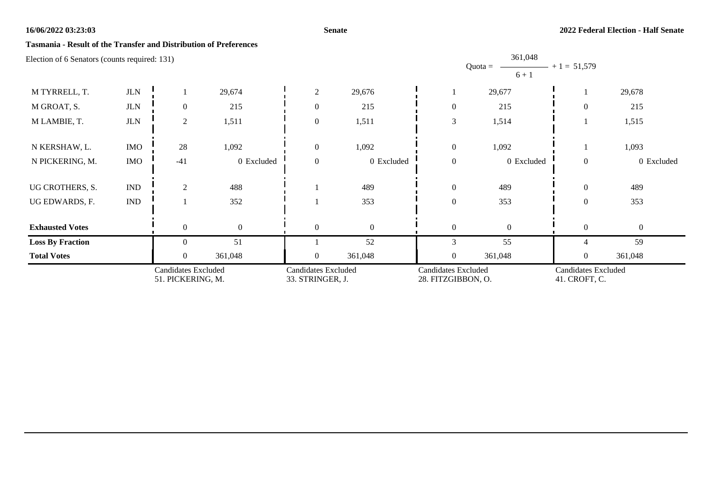## **Senate**

## **Tasmania - Result of the Transfer and Distribution of Preferences**

| Election of 6 Senators (counts required: 131)   |                             |                |                                                |              |                                                  |                  | 361,048<br>$Quota =$<br>$6 + 1$             | $+1 = 51,579$  |                |
|-------------------------------------------------|-----------------------------|----------------|------------------------------------------------|--------------|--------------------------------------------------|------------------|---------------------------------------------|----------------|----------------|
| M TYRRELL, T.                                   | $_{\rm JLN}$                |                | 29,674                                         | 2            | 29,676                                           |                  | 29,677                                      |                | 29,678         |
| M GROAT, S.                                     | $_{\rm JLN}$                | $\theta$       | 215                                            | $\theta$     | 215                                              | $\theta$         | 215                                         | $\overline{0}$ | 215            |
| M LAMBIE, T.                                    | $_{\rm JLN}$                | 2              | 1,511                                          | $\theta$     | 1,511                                            | $\mathfrak{Z}$   | 1,514                                       |                | 1,515          |
| N KERSHAW, L.                                   | <b>IMO</b>                  | 28             | 1,092                                          | $\mathbf{0}$ | 1,092                                            | $\boldsymbol{0}$ | 1,092                                       |                | 1,093          |
| N PICKERING, M.                                 | <b>IMO</b>                  | $-41$          | 0 Excluded                                     | $\theta$     | 0 Excluded                                       | $\boldsymbol{0}$ | 0 Excluded                                  | $\overline{0}$ | 0 Excluded     |
| UG CROTHERS, S.                                 | $\ensuremath{\text{IND}}$   | 2              | 488                                            |              | 489                                              | $\mathbf{0}$     | 489                                         | $\overline{0}$ | 489            |
| UG EDWARDS, F.                                  | $\mathop{\rm IND}\nolimits$ |                | 352                                            |              | 353                                              | $\mathbf{0}$     | 353                                         | $\overline{0}$ | 353            |
| <b>Exhausted Votes</b>                          |                             | $\theta$       | $\overline{0}$                                 | $\theta$     | $\mathbf{0}$                                     | $\mathbf{0}$     | $\overline{0}$                              | $\overline{0}$ | $\overline{0}$ |
| <b>Loss By Fraction</b>                         |                             | 0              | 51                                             |              | 52                                               | 3                | 55                                          | 4              | 59             |
| <b>Total Votes</b>                              |                             | $\overline{0}$ | 361,048                                        | $\Omega$     | 361,048                                          | $\overline{0}$   | 361,048                                     | $\overline{0}$ | 361,048        |
| <b>Candidates Excluded</b><br>51. PICKERING, M. |                             |                | <b>Candidates Excluded</b><br>33. STRINGER, J. |              | <b>Candidates Excluded</b><br>28. FITZGIBBON, O. |                  | <b>Candidates Excluded</b><br>41. CROFT, C. |                |                |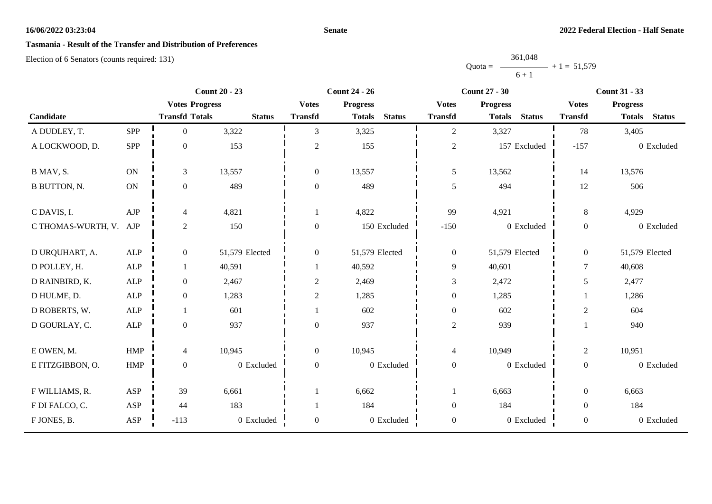## **Senate**

# **Tasmania - Result of the Transfer and Distribution of Preferences**

|           | 361,048 |               |
|-----------|---------|---------------|
| $Quota =$ |         | $+1 = 51,579$ |
|           | $6 + 1$ |               |

|                        |              |                       | <b>Count 20 - 23</b> |                  | <b>Count 24 - 26</b> | <b>Count 27 - 30</b> |                  |                 | <b>Count 31 - 33</b> |                  |                 |               |
|------------------------|--------------|-----------------------|----------------------|------------------|----------------------|----------------------|------------------|-----------------|----------------------|------------------|-----------------|---------------|
|                        |              | <b>Votes Progress</b> |                      | <b>Votes</b>     | <b>Progress</b>      |                      | <b>Votes</b>     | <b>Progress</b> |                      | <b>Votes</b>     | <b>Progress</b> |               |
| Candidate              |              | <b>Transfd Totals</b> | <b>Status</b>        | <b>Transfd</b>   | <b>Totals</b>        | <b>Status</b>        | <b>Transfd</b>   | <b>Totals</b>   | <b>Status</b>        | <b>Transfd</b>   | <b>Totals</b>   | <b>Status</b> |
| A DUDLEY, T.           | <b>SPP</b>   | $\mathbf{0}$          | 3,322                | 3                | 3,325                |                      | $\sqrt{2}$       | 3,327           |                      | 78               | 3,405           |               |
| A LOCKWOOD, D.         | SPP          | $\mathbf{0}$          | 153                  | $\mathbf{2}$     | 155                  |                      | $\boldsymbol{2}$ |                 | 157 Excluded         | $-157$           |                 | 0 Excluded    |
| B MAV, S.              | <b>ON</b>    | $\mathfrak{Z}$        | 13,557               | $\boldsymbol{0}$ | 13,557               |                      | $\mathfrak{S}$   | 13,562          |                      | 14               | 13,576          |               |
| <b>B BUTTON, N.</b>    | ON           | $\boldsymbol{0}$      | 489                  | $\boldsymbol{0}$ | 489                  |                      | 5                | 494             |                      | 12               | 506             |               |
| C DAVIS, I.            | ${\rm AJP}$  | $\overline{4}$        | 4,821                |                  | 4,822                |                      | 99               | 4,921           |                      | 8                | 4,929           |               |
| C THOMAS-WURTH, V. AJP |              | $\sqrt{2}$            | 150                  | $\boldsymbol{0}$ |                      | 150 Excluded         | $-150$           |                 | 0 Excluded           | $\boldsymbol{0}$ |                 | 0 Excluded    |
| D URQUHART, A.         | ALP          | $\mathbf{0}$          | 51,579 Elected       | $\overline{0}$   | 51,579 Elected       |                      | $\boldsymbol{0}$ | 51,579 Elected  |                      | $\overline{0}$   | 51,579 Elected  |               |
| D POLLEY, H.           | ALP          | 1                     | 40,591               |                  | 40,592               |                      | 9                | 40,601          |                      | $\overline{7}$   | 40,608          |               |
| D RAINBIRD, K.         | ${\sf ALP}$  | $\boldsymbol{0}$      | 2,467                | $\boldsymbol{2}$ | 2,469                |                      | 3                | 2,472           |                      | 5                | 2,477           |               |
| D HULME, D.            | $\mbox{ALP}$ | $\mathbf{0}$          | 1,283                | $\mathbf{2}$     | 1,285                |                      | $\boldsymbol{0}$ | 1,285           |                      |                  | 1,286           |               |
| D ROBERTS, W.          | <b>ALP</b>   |                       | 601                  |                  | 602                  |                      | $\boldsymbol{0}$ | 602             |                      | $\boldsymbol{2}$ | 604             |               |
| D GOURLAY, C.          | ${\sf ALP}$  | $\boldsymbol{0}$      | 937                  | $\boldsymbol{0}$ | 937                  |                      | $\sqrt{2}$       | 939             |                      |                  | 940             |               |
| E OWEN, M.             | HMP          | $\overline{4}$        | 10,945               | $\boldsymbol{0}$ | 10,945               |                      | $\overline{4}$   | 10,949          |                      | $\overline{c}$   | 10,951          |               |
| E FITZGIBBON, O.       | <b>HMP</b>   | $\boldsymbol{0}$      | 0 Excluded           | $\boldsymbol{0}$ |                      | 0 Excluded           | $\boldsymbol{0}$ |                 | 0 Excluded           | $\overline{0}$   |                 | 0 Excluded    |
| F WILLIAMS, R.         | ASP          | 39                    | 6,661                |                  | 6,662                |                      |                  | 6,663           |                      | $\theta$         | 6,663           |               |
| F DI FALCO, C.         | ASP          | 44                    | 183                  |                  | 184                  |                      | $\boldsymbol{0}$ | 184             |                      | $\overline{0}$   | 184             |               |
| F JONES, B.            | ASP          | $-113$                | 0 Excluded           | $\boldsymbol{0}$ |                      | 0 Excluded           | $\boldsymbol{0}$ |                 | 0 Excluded           | $\boldsymbol{0}$ |                 | 0 Excluded    |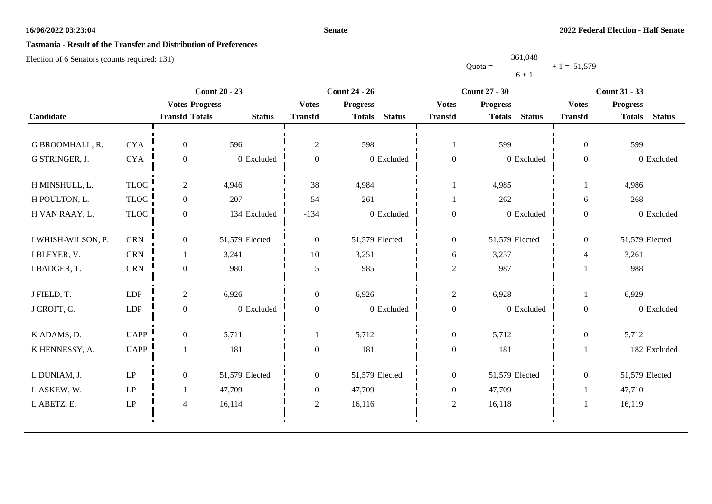## **Senate**

# **Tasmania - Result of the Transfer and Distribution of Preferences**

|           | 361,048 |               |
|-----------|---------|---------------|
| $Quota =$ |         | $+1 = 51,579$ |
|           | $6 + 1$ |               |

|                    |                            | <b>Count 20 - 23</b>  |                |                  | <b>Count 24 - 26</b>           |                  | <b>Count 27 - 30</b>           | <b>Count 31 - 33</b>     |                                |
|--------------------|----------------------------|-----------------------|----------------|------------------|--------------------------------|------------------|--------------------------------|--------------------------|--------------------------------|
|                    |                            | <b>Votes Progress</b> |                | <b>Votes</b>     | <b>Progress</b>                | <b>Votes</b>     | <b>Progress</b>                | <b>Votes</b>             | <b>Progress</b>                |
| Candidate          |                            | <b>Transfd Totals</b> | <b>Status</b>  | <b>Transfd</b>   | <b>Status</b><br><b>Totals</b> | <b>Transfd</b>   | <b>Status</b><br><b>Totals</b> | <b>Transfd</b>           | <b>Totals</b><br><b>Status</b> |
|                    |                            |                       |                |                  |                                |                  |                                |                          |                                |
| G BROOMHALL, R.    | <b>CYA</b>                 | $\overline{0}$        | 596            | $\overline{c}$   | 598                            | 1                | 599                            | $\theta$                 | 599                            |
| G STRINGER, J.     | <b>CYA</b>                 | $\overline{0}$        | 0 Excluded     | $\overline{0}$   | 0 Excluded                     | $\boldsymbol{0}$ | 0 Excluded                     | $\overline{0}$           | 0 Excluded                     |
| H MINSHULL, L.     | <b>TLOC</b>                | $\overline{c}$        | 4,946          | 38               | 4,984                          |                  | 4,985                          |                          | 4,986                          |
| H POULTON, L.      | <b>TLOC</b>                | $\overline{0}$        | 207            | 54               | 261                            |                  | 262                            | 6                        | 268                            |
| H VAN RAAY, L.     | <b>TLOC</b>                | $\boldsymbol{0}$      | 134 Excluded   | $-134$           | 0 Excluded                     | $\boldsymbol{0}$ | 0 Excluded                     | $\overline{0}$           | 0 Excluded                     |
| I WHISH-WILSON, P. | <b>GRN</b>                 | $\overline{0}$        | 51,579 Elected | $\overline{0}$   | 51,579 Elected                 | $\overline{0}$   | 51,579 Elected                 | $\overline{0}$           | 51,579 Elected                 |
| I BLEYER, V.       | <b>GRN</b>                 |                       | 3,241          | 10               | 3,251                          | 6                | 3,257                          | $\overline{\mathcal{L}}$ | 3,261                          |
| I BADGER, T.       | <b>GRN</b>                 | $\overline{0}$        | 980            | $\sqrt{5}$       | 985                            | $\overline{c}$   | 987                            |                          | 988                            |
| J FIELD, T.        | ${\rm LDP}$                | $\overline{c}$        | 6,926          | $\overline{0}$   | 6,926                          | $\sqrt{2}$       | 6,928                          |                          | 6,929                          |
| J CROFT, C.        | LDP                        | $\overline{0}$        | 0 Excluded     | $\boldsymbol{0}$ | 0 Excluded                     | $\boldsymbol{0}$ | 0 Excluded                     | $\overline{0}$           | 0 Excluded                     |
| K ADAMS, D.        | <b>UAPP</b>                | $\overline{0}$        | 5,711          |                  | 5,712                          | $\boldsymbol{0}$ | 5,712                          | $\overline{0}$           | 5,712                          |
| K HENNESSY, A.     | <b>UAPP</b>                |                       | 181            | $\overline{0}$   | 181                            | $\boldsymbol{0}$ | 181                            |                          | 182 Excluded                   |
| L DUNIAM, J.       | $\mathrm{LP}$              | $\overline{0}$        | 51,579 Elected | $\mathbf{0}$     | 51,579 Elected                 | $\overline{0}$   | 51,579 Elected                 | $\overline{0}$           | 51,579 Elected                 |
| L ASKEW, W.        | $\operatorname{LP}$        |                       | 47,709         | $\boldsymbol{0}$ | 47,709                         | $\boldsymbol{0}$ | 47,709                         |                          | 47,710                         |
| L ABETZ, E.        | $\ensuremath{\mathrm{LP}}$ | 4                     | 16,114         | $\overline{2}$   | 16,116                         | $\sqrt{2}$       | 16,118                         |                          | 16,119                         |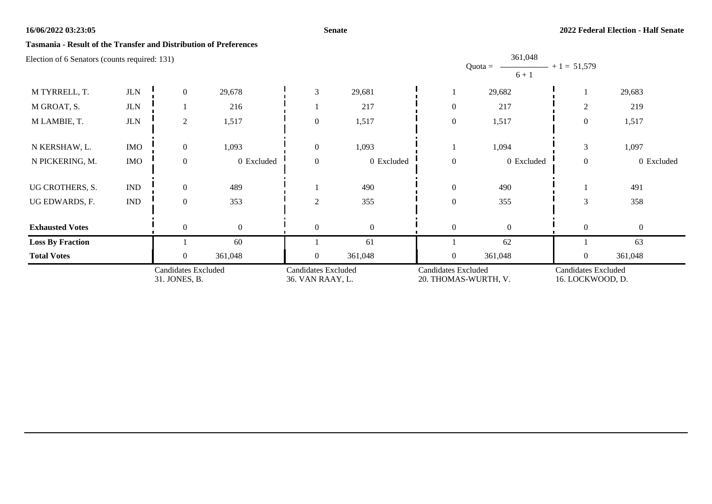## **Senate**

## **Tasmania - Result of the Transfer and Distribution of Preferences**

| <b>Candidates Excluded</b><br>31. JONES, B.   |                             |                  | Candidates Excluded<br>36. VAN RAAY, L. |              | <b>Candidates Excluded</b><br>20. THOMAS-WURTH, V. |                  | <b>Candidates Excluded</b><br>16. LOCKWOOD, D. |                  |                |
|-----------------------------------------------|-----------------------------|------------------|-----------------------------------------|--------------|----------------------------------------------------|------------------|------------------------------------------------|------------------|----------------|
| <b>Total Votes</b>                            |                             | $\overline{0}$   | 361,048                                 | $\Omega$     | 361,048                                            | $\mathbf{0}$     | 361,048                                        | $\overline{0}$   | 361,048        |
| <b>Loss By Fraction</b>                       |                             |                  | 60                                      |              | 61                                                 |                  | 62                                             |                  | 63             |
| <b>Exhausted Votes</b>                        |                             | $\mathbf{0}$     | $\mathbf{0}$                            | $\theta$     | $\mathbf{0}$                                       | $\mathbf{0}$     | $\theta$                                       | $\overline{0}$   | $\overline{0}$ |
| UG EDWARDS, F.                                | $\mathop{\rm IND}\nolimits$ | $\mathbf{0}$     | 353                                     | 2            | 355                                                | $\boldsymbol{0}$ | 355                                            | 3                | 358            |
| UG CROTHERS, S.                               | $\mathop{\rm IND}\nolimits$ | $\overline{0}$   | 489                                     |              | 490                                                | $\mathbf{0}$     | 490                                            |                  | 491            |
|                                               |                             |                  |                                         |              |                                                    |                  |                                                |                  |                |
| N PICKERING, M.                               | <b>IMO</b>                  | $\mathbf{0}$     | 0 Excluded                              | $\Omega$     | 0 Excluded                                         | $\mathbf{0}$     | 0 Excluded                                     | $\mathbf{0}$     | 0 Excluded     |
| N KERSHAW, L.                                 | <b>IMO</b>                  | $\boldsymbol{0}$ | 1,093                                   | $\mathbf{0}$ | 1,093                                              |                  | 1,094                                          | 3                | 1,097          |
| M LAMBIE, T.                                  | $_{\rm JLN}$                | $\overline{c}$   | 1,517                                   | $\mathbf{0}$ | 1,517                                              | $\boldsymbol{0}$ | 1,517                                          | $\boldsymbol{0}$ | 1,517          |
| M GROAT, S.                                   | $_{\rm JLN}$                |                  | 216                                     |              | 217                                                | $\theta$         | 217                                            | $\overline{2}$   | 219            |
| M TYRRELL, T.                                 | $_{\rm JLN}$                | $\overline{0}$   | 29,678                                  | 3            | 29,681                                             |                  | 29,682                                         |                  | 29,683         |
| Election of 6 Senators (counts required: 131) |                             |                  |                                         |              |                                                    |                  | 361,048<br>$Quota =$<br>$6 + 1$                | $+1 = 51,579$    |                |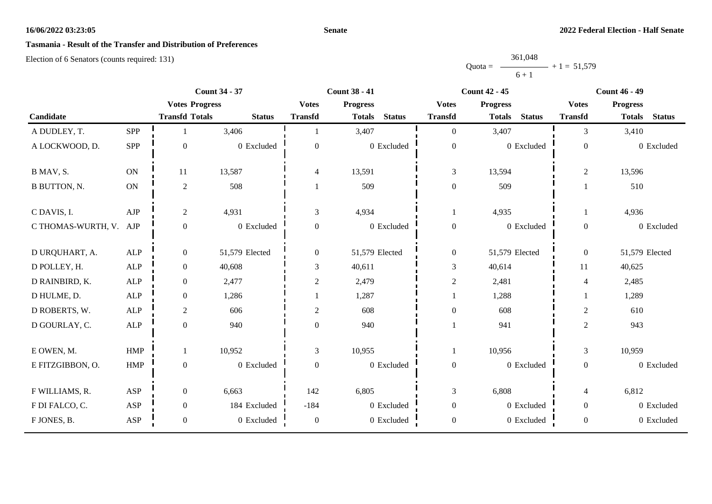## **Senate**

# **Tasmania - Result of the Transfer and Distribution of Preferences**

|           | 361,048 |               |
|-----------|---------|---------------|
| $Quota =$ |         | $+1 = 51,579$ |
|           | $6 + 1$ |               |

|                        |               | <b>Count 34 - 37</b>  |                |                  | <b>Count 38 - 41</b><br><b>Count 42 - 45</b> |                  |                                | <b>Count 46 - 49</b> |                                |  |
|------------------------|---------------|-----------------------|----------------|------------------|----------------------------------------------|------------------|--------------------------------|----------------------|--------------------------------|--|
|                        |               | <b>Votes Progress</b> |                | <b>Votes</b>     | <b>Progress</b>                              | <b>Votes</b>     | <b>Progress</b>                | <b>Votes</b>         | <b>Progress</b>                |  |
| Candidate              |               | <b>Transfd Totals</b> | <b>Status</b>  | <b>Transfd</b>   | <b>Status</b><br><b>Totals</b>               | <b>Transfd</b>   | <b>Status</b><br><b>Totals</b> | <b>Transfd</b>       | <b>Status</b><br><b>Totals</b> |  |
| A DUDLEY, T.           | <b>SPP</b>    |                       | 3,406          |                  | 3,407                                        | $\overline{0}$   | 3,407                          | 3                    | 3,410                          |  |
| A LOCKWOOD, D.         | SPP           | $\mathbf{0}$          | 0 Excluded     | $\theta$         | 0 Excluded                                   | $\boldsymbol{0}$ | 0 Excluded                     | $\boldsymbol{0}$     | 0 Excluded                     |  |
| B MAV, S.              | ON            | 11                    | 13,587         | 4                | 13,591                                       | 3                | 13,594                         | $\overline{c}$       | 13,596                         |  |
| <b>B BUTTON, N.</b>    | $\mathbf{ON}$ | $\sqrt{2}$            | 508            |                  | 509                                          | $\boldsymbol{0}$ | 509                            |                      | 510                            |  |
| C DAVIS, I.            | ${\rm AJP}$   | $\sqrt{2}$            | 4,931          | 3                | 4,934                                        | 1                | 4,935                          |                      | 4,936                          |  |
| C THOMAS-WURTH, V. AJP |               | $\boldsymbol{0}$      | 0 Excluded     | $\boldsymbol{0}$ | 0 Excluded                                   | $\boldsymbol{0}$ | 0 Excluded                     | $\overline{0}$       | 0 Excluded                     |  |
| D URQUHART, A.         | ALP           | $\boldsymbol{0}$      | 51,579 Elected | $\overline{0}$   | 51,579 Elected                               | $\boldsymbol{0}$ | 51,579 Elected                 | $\overline{0}$       | 51,579 Elected                 |  |
| D POLLEY, H.           | ALP           | $\boldsymbol{0}$      | 40,608         | 3                | 40,611                                       | 3                | 40,614                         | 11                   | 40,625                         |  |
| D RAINBIRD, K.         | $\mbox{ALP}$  | $\boldsymbol{0}$      | 2,477          | $\overline{c}$   | 2,479                                        | $\overline{c}$   | 2,481                          | $\overline{4}$       | 2,485                          |  |
| D HULME, D.            | ALP           | $\boldsymbol{0}$      | 1,286          |                  | 1,287                                        |                  | 1,288                          |                      | 1,289                          |  |
| D ROBERTS, W.          | ${\sf ALP}$   | $\mathbf{2}$          | 606            | $\overline{c}$   | 608                                          | $\boldsymbol{0}$ | 608                            | $\overline{c}$       | 610                            |  |
| D GOURLAY, C.          | ALP           | $\boldsymbol{0}$      | 940            | $\overline{0}$   | 940                                          |                  | 941                            | $\overline{c}$       | 943                            |  |
| E OWEN, M.             | HMP           | $\mathbf{1}$          | 10,952         | 3                | 10,955                                       | 1                | 10,956                         | $\mathfrak{Z}$       | 10,959                         |  |
| E FITZGIBBON, O.       | ${\rm HMP}$   | $\boldsymbol{0}$      | 0 Excluded     | $\boldsymbol{0}$ | 0 Excluded                                   | $\boldsymbol{0}$ | 0 Excluded                     | $\overline{0}$       | 0 Excluded                     |  |
| F WILLIAMS, R.         | ASP           | $\boldsymbol{0}$      | 6,663          | 142              | 6,805                                        | 3                | 6,808                          | $\overline{4}$       | 6,812                          |  |
| F DI FALCO, C.         | ASP           | $\boldsymbol{0}$      | 184 Excluded   | $-184$           | 0 Excluded                                   | $\boldsymbol{0}$ | 0 Excluded                     | $\overline{0}$       | 0 Excluded                     |  |
| F JONES, B.            | ASP           | $\boldsymbol{0}$      | 0 Excluded     | $\boldsymbol{0}$ | 0 Excluded                                   | $\boldsymbol{0}$ | 0 Excluded                     | $\overline{0}$       | 0 Excluded                     |  |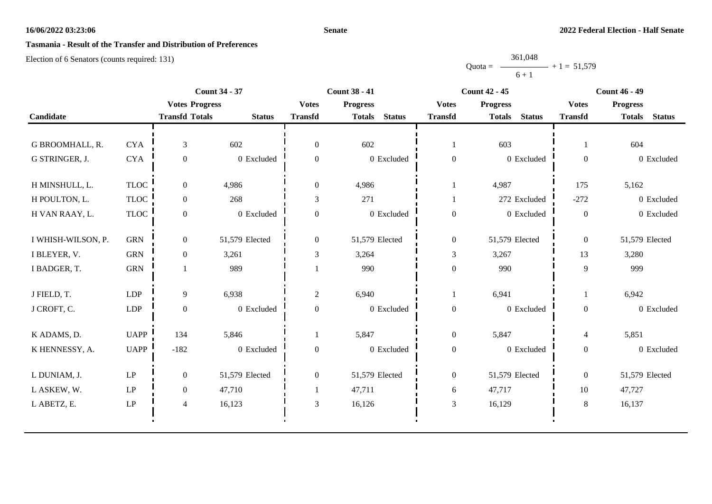## **Senate**

# **Tasmania - Result of the Transfer and Distribution of Preferences**

|           | 361,048 |               |
|-----------|---------|---------------|
| $Quota =$ |         | $+1 = 51,579$ |
|           | $6 + 1$ |               |

|                    |                     |                       | <b>Count 34 - 37</b> |                | <b>Count 38 - 41</b>           |                  | <b>Count 42 - 45</b>           |                  | <b>Count 46 - 49</b>           |
|--------------------|---------------------|-----------------------|----------------------|----------------|--------------------------------|------------------|--------------------------------|------------------|--------------------------------|
|                    |                     | <b>Votes Progress</b> |                      | <b>Votes</b>   | <b>Progress</b>                | <b>Votes</b>     | <b>Progress</b>                | <b>Votes</b>     | <b>Progress</b>                |
| Candidate          |                     | <b>Transfd Totals</b> | <b>Status</b>        | <b>Transfd</b> | <b>Status</b><br><b>Totals</b> | <b>Transfd</b>   | <b>Status</b><br><b>Totals</b> | <b>Transfd</b>   | <b>Status</b><br><b>Totals</b> |
|                    |                     |                       |                      |                |                                |                  |                                |                  |                                |
| G BROOMHALL, R.    | <b>CYA</b>          | 3                     | 602                  | $\overline{0}$ | 602                            | 1                | 603                            |                  | 604                            |
| G STRINGER, J.     | <b>CYA</b>          | $\boldsymbol{0}$      | 0 Excluded           | $\overline{0}$ | 0 Excluded                     | $\boldsymbol{0}$ | 0 Excluded                     | $\overline{0}$   | 0 Excluded                     |
| H MINSHULL, L.     | <b>TLOC</b>         | $\Omega$              | 4,986                | $\overline{0}$ | 4,986                          | $\mathbf{1}$     | 4,987                          | 175              | 5,162                          |
| H POULTON, L.      | <b>TLOC</b>         | $\overline{0}$        | 268                  | 3              | 271                            | 1                | 272 Excluded                   | $-272$           | 0 Excluded                     |
| H VAN RAAY, L.     | <b>TLOC</b>         | $\overline{0}$        | 0 Excluded           | $\overline{0}$ | 0 Excluded                     | $\boldsymbol{0}$ | 0 Excluded                     | $\boldsymbol{0}$ | 0 Excluded                     |
| I WHISH-WILSON, P. | <b>GRN</b>          | $\overline{0}$        | 51,579 Elected       | $\overline{0}$ | 51,579 Elected                 | $\overline{0}$   | 51,579 Elected                 | $\overline{0}$   | 51,579 Elected                 |
| I BLEYER, V.       | ${\rm GRN}$         | $\boldsymbol{0}$      | 3,261                | 3              | 3,264                          | 3                | 3,267                          | 13               | 3,280                          |
| I BADGER, T.       | ${\rm GRN}$         |                       | 989                  |                | 990                            | $\boldsymbol{0}$ | 990                            | 9                | 999                            |
| J FIELD, T.        | LDP                 | 9                     | 6,938                | $\overline{2}$ | 6,940                          | 1                | 6,941                          |                  | 6,942                          |
| J CROFT, C.        | LDP                 | $\boldsymbol{0}$      | 0 Excluded           | $\mathbf{0}$   | 0 Excluded                     | $\boldsymbol{0}$ | 0 Excluded                     | $\overline{0}$   | 0 Excluded                     |
| K ADAMS, D.        | <b>UAPP</b>         | 134                   | 5,846                |                | 5,847                          | $\boldsymbol{0}$ | 5,847                          | $\overline{4}$   | 5,851                          |
| K HENNESSY, A.     | <b>UAPP</b>         | $-182$                | 0 Excluded           | $\mathbf{0}$   | 0 Excluded                     | $\boldsymbol{0}$ | 0 Excluded                     | $\boldsymbol{0}$ | 0 Excluded                     |
| L DUNIAM, J.       | $\operatorname{LP}$ | $\overline{0}$        | 51,579 Elected       | $\overline{0}$ | 51,579 Elected                 | $\boldsymbol{0}$ | 51,579 Elected                 | $\overline{0}$   | 51,579 Elected                 |
| L ASKEW, W.        | LP                  | $\overline{0}$        | 47,710               |                | 47,711                         | 6                | 47,717                         | 10               | 47,727                         |
| L ABETZ, E.        | LP                  | 4                     | 16,123               | 3              | 16,126                         | 3                | 16,129                         | 8                | 16,137                         |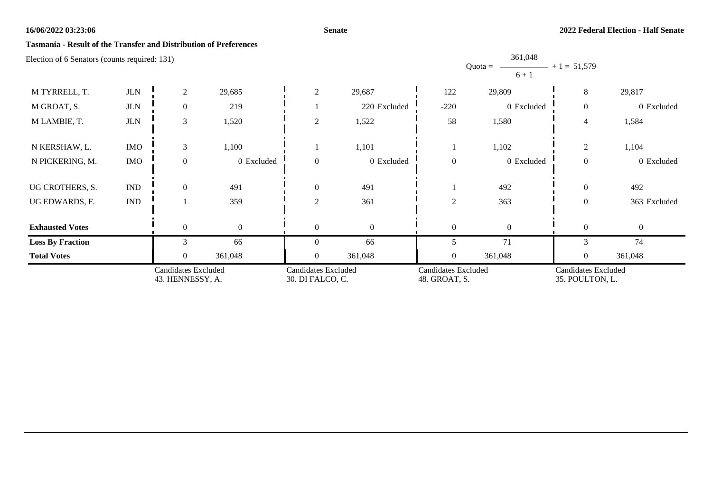## **Senate**

## **Tasmania - Result of the Transfer and Distribution of Preferences**

|                                               | <b>Candidates Excluded</b><br>43. HENNESSY, A. |                | <b>Candidates Excluded</b><br>30. DI FALCO, C. |                | <b>Candidates Excluded</b><br>48. GROAT, S. |              | <b>Candidates Excluded</b><br>35. POULTON, L. |                |              |
|-----------------------------------------------|------------------------------------------------|----------------|------------------------------------------------|----------------|---------------------------------------------|--------------|-----------------------------------------------|----------------|--------------|
| <b>Total Votes</b>                            |                                                | 0              | 361,048                                        | $\theta$       | 361,048                                     | $\mathbf{0}$ | 361,048                                       | $\mathbf{0}$   | 361,048      |
| <b>Loss By Fraction</b>                       |                                                | $\mathcal{E}$  | 66                                             | $\Omega$       | 66                                          | 5            | 71                                            | 3              | 74           |
| <b>Exhausted Votes</b>                        |                                                | $\theta$       | $\overline{0}$                                 | $\theta$       | $\mathbf{0}$                                | $\theta$     | $\Omega$                                      | $\theta$       | $\Omega$     |
| UG EDWARDS, F.                                | $\mathop{\rm IND}\nolimits$                    |                | 359                                            | 2              | 361                                         | $\sqrt{2}$   | 363                                           | $\overline{0}$ | 363 Excluded |
| UG CROTHERS, S.                               | $\mathop{\rm IND}\nolimits$                    | $\theta$       | 491                                            | $\theta$       |                                             |              | 492                                           | $\theta$       |              |
|                                               |                                                |                |                                                |                | 491                                         |              |                                               |                | 492          |
| N PICKERING, M.                               | <b>IMO</b>                                     | $\theta$       | 0 Excluded                                     | $\theta$       | 0 Excluded                                  | $\theta$     | 0 Excluded                                    | $\overline{0}$ | 0 Excluded   |
| N KERSHAW, L.                                 | <b>IMO</b>                                     | $\mathfrak{Z}$ | 1,100                                          |                | 1,101                                       |              | 1,102                                         | $\overline{c}$ | 1,104        |
| M LAMBIE, T.                                  | $_{\rm JLN}$                                   | 3              | 1,520                                          | $\overline{2}$ | 1,522                                       | 58           | 1,580                                         | 4              | 1,584        |
| M GROAT, S.                                   | $_{\rm JLN}$                                   | $\mathbf{0}$   | 219                                            |                | 220 Excluded                                | $-220$       | 0 Excluded                                    | $\overline{0}$ | 0 Excluded   |
| M TYRRELL, T.                                 | $_{\rm JLN}$                                   | $\overline{2}$ | 29,685                                         | 2              | 29,687                                      | 122          | 29,809                                        | 8              | 29,817       |
| Election of 6 Senators (counts required: 131) |                                                |                |                                                |                |                                             |              | 361,048<br>$Quota =$<br>$6 + 1$               | $+1 = 51,579$  |              |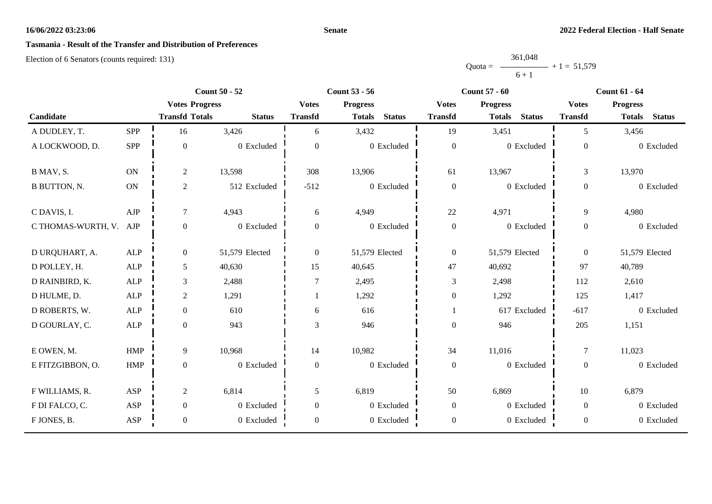## **Senate**

# **Tasmania - Result of the Transfer and Distribution of Preferences**

|           | 361,048 |               |
|-----------|---------|---------------|
| $Quota =$ |         | $+1 = 51,579$ |
|           | $6 + 1$ |               |

|                        |               | <b>Count 50 - 52</b>  |                |                  | <b>Count 53 - 56</b><br><b>Count 57 - 60</b> |                  | <b>Count 61 - 64</b>           |                |                                |
|------------------------|---------------|-----------------------|----------------|------------------|----------------------------------------------|------------------|--------------------------------|----------------|--------------------------------|
|                        |               | <b>Votes Progress</b> |                | <b>Votes</b>     | <b>Progress</b>                              | <b>Votes</b>     | <b>Progress</b>                | <b>Votes</b>   | <b>Progress</b>                |
| Candidate              |               | <b>Transfd Totals</b> | <b>Status</b>  | <b>Transfd</b>   | <b>Status</b><br><b>Totals</b>               | <b>Transfd</b>   | <b>Status</b><br><b>Totals</b> | <b>Transfd</b> | <b>Status</b><br><b>Totals</b> |
| A DUDLEY, T.           | SPP           | 16                    | 3,426          | 6                | 3,432                                        | 19               | 3,451                          | 5              | 3,456                          |
| A LOCKWOOD, D.         | SPP           | $\mathbf{0}$          | 0 Excluded     | $\boldsymbol{0}$ | 0 Excluded                                   | $\boldsymbol{0}$ | 0 Excluded                     | $\overline{0}$ | 0 Excluded                     |
| B MAV, S.              | <b>ON</b>     | $\sqrt{2}$            | 13,598         | 308              | 13,906                                       | 61               | 13,967                         | $\overline{3}$ | 13,970                         |
| <b>B BUTTON, N.</b>    | $\mathbf{ON}$ | $\sqrt{2}$            | 512 Excluded   | $-512$           | 0 Excluded                                   | $\boldsymbol{0}$ | 0 Excluded                     | $\overline{0}$ | 0 Excluded                     |
| C DAVIS, I.            | ${\rm AJP}$   | $\boldsymbol{7}$      | 4,943          | 6                | 4,949                                        | $22\,$           | 4,971                          | 9              | 4,980                          |
| C THOMAS-WURTH, V. AJP |               | $\boldsymbol{0}$      | 0 Excluded     | $\boldsymbol{0}$ | 0 Excluded                                   | $\boldsymbol{0}$ | 0 Excluded                     | $\overline{0}$ | 0 Excluded                     |
| D URQUHART, A.         | ALP           | $\mathbf{0}$          | 51,579 Elected | $\boldsymbol{0}$ | 51,579 Elected                               | $\boldsymbol{0}$ | 51,579 Elected                 | $\theta$       | 51,579 Elected                 |
| D POLLEY, H.           | ALP           | 5                     | 40,630         | 15               | 40,645                                       | 47               | 40,692                         | 97             | 40,789                         |
| D RAINBIRD, K.         | ${\sf ALP}$   | $\mathfrak{Z}$        | 2,488          | $\tau$           | 2,495                                        | 3                | 2,498                          | 112            | 2,610                          |
| D HULME, D.            | $\mbox{ALP}$  | $\mathbf{2}$          | 1,291          |                  | 1,292                                        | $\boldsymbol{0}$ | 1,292                          | 125            | 1,417                          |
| D ROBERTS, W.          | <b>ALP</b>    | $\boldsymbol{0}$      | 610            | 6                | 616                                          | 1                | 617 Excluded                   | $-617$         | 0 Excluded                     |
| D GOURLAY, C.          | ${\sf ALP}$   | $\mathbf{0}$          | 943            | 3                | 946                                          | $\boldsymbol{0}$ | 946                            | 205            | 1,151                          |
| E OWEN, M.             | HMP           | 9                     | 10,968         | 14               | 10,982                                       | 34               | 11,016                         | $\tau$         | 11,023                         |
| E FITZGIBBON, O.       | <b>HMP</b>    | $\mathbf{0}$          | 0 Excluded     | $\boldsymbol{0}$ | 0 Excluded                                   | $\boldsymbol{0}$ | 0 Excluded                     | $\overline{0}$ | 0 Excluded                     |
| F WILLIAMS, R.         | ASP           | $\boldsymbol{2}$      | 6,814          | 5                | 6,819                                        | 50               | 6,869                          | 10             | 6,879                          |
| F DI FALCO, C.         | ASP           | $\boldsymbol{0}$      | 0 Excluded     | $\overline{0}$   | 0 Excluded                                   | $\boldsymbol{0}$ | 0 Excluded                     | $\overline{0}$ | 0 Excluded                     |
| F JONES, B.            | ASP           | $\boldsymbol{0}$      | 0 Excluded     | $\boldsymbol{0}$ | 0 Excluded                                   | $\boldsymbol{0}$ | 0 Excluded                     | $\overline{0}$ | 0 Excluded                     |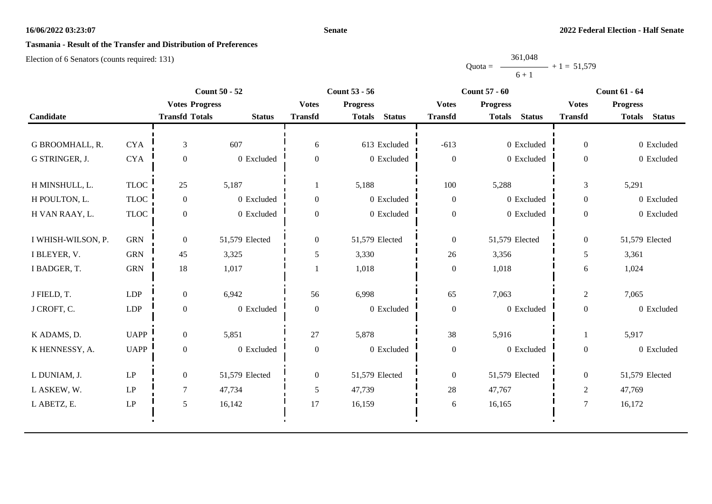## **Senate**

# **Tasmania - Result of the Transfer and Distribution of Preferences**

|           | 361,048 |               |
|-----------|---------|---------------|
| $Quota =$ |         | $+1 = 51,579$ |
|           | $6 + 1$ |               |

|             |                       |                |                                               | <b>Count 53 - 56</b>           |                  | <b>Count 57 - 60</b>           |                  | <b>Count 61 - 64</b>           |
|-------------|-----------------------|----------------|-----------------------------------------------|--------------------------------|------------------|--------------------------------|------------------|--------------------------------|
|             |                       |                | <b>Votes</b>                                  | <b>Progress</b>                | <b>Votes</b>     | <b>Progress</b>                | <b>Votes</b>     | <b>Progress</b>                |
|             | <b>Transfd Totals</b> | <b>Status</b>  | <b>Transfd</b>                                | <b>Status</b><br><b>Totals</b> | <b>Transfd</b>   | <b>Status</b><br><b>Totals</b> | <b>Transfd</b>   | <b>Status</b><br><b>Totals</b> |
|             |                       |                |                                               |                                |                  |                                |                  |                                |
| <b>CYA</b>  | $\mathfrak{Z}$        | 607            | 6                                             | 613 Excluded                   | $-613$           | 0 Excluded                     | $\overline{0}$   | 0 Excluded                     |
| $\rm CYA$   | $\boldsymbol{0}$      | 0 Excluded     | $\overline{0}$                                | 0 Excluded                     | $\boldsymbol{0}$ | 0 Excluded                     | $\overline{0}$   | 0 Excluded                     |
| <b>TLOC</b> | 25                    | 5,187          |                                               | 5,188                          | 100              | 5,288                          | 3                | 5,291                          |
| <b>TLOC</b> | $\overline{0}$        | 0 Excluded     | $\boldsymbol{0}$                              | 0 Excluded                     | $\overline{0}$   | 0 Excluded                     | $\overline{0}$   | 0 Excluded                     |
| <b>TLOC</b> | $\overline{0}$        | 0 Excluded     | $\overline{0}$                                | 0 Excluded                     | $\boldsymbol{0}$ | 0 Excluded                     | $\overline{0}$   | 0 Excluded                     |
| <b>GRN</b>  | $\overline{0}$        | 51,579 Elected | $\mathbf{0}$                                  | 51,579 Elected                 | $\overline{0}$   | 51,579 Elected                 | $\overline{0}$   | 51,579 Elected                 |
| <b>GRN</b>  | 45                    | 3,325          | 5                                             | 3,330                          | 26               | 3,356                          | 5                | 3,361                          |
| ${\rm GRN}$ | 18                    | 1,017          |                                               | 1,018                          | $\boldsymbol{0}$ | 1,018                          | 6                | 1,024                          |
| <b>LDP</b>  | $\overline{0}$        | 6,942          | 56                                            | 6,998                          | 65               | 7,063                          | $\overline{2}$   | 7,065                          |
| <b>LDP</b>  | $\boldsymbol{0}$      | 0 Excluded     | $\overline{0}$                                | 0 Excluded                     | $\boldsymbol{0}$ | 0 Excluded                     | $\overline{0}$   | 0 Excluded                     |
| <b>UAPP</b> | $\overline{0}$        | 5,851          | 27                                            | 5,878                          | 38               | 5,916                          |                  | 5,917                          |
| <b>UAPP</b> | $\overline{0}$        | 0 Excluded     | $\boldsymbol{0}$                              | 0 Excluded                     | $\boldsymbol{0}$ | 0 Excluded                     | $\boldsymbol{0}$ | 0 Excluded                     |
| LP          | $\overline{0}$        | 51,579 Elected | $\overline{0}$                                | 51,579 Elected                 | $\overline{0}$   | 51,579 Elected                 | $\overline{0}$   | 51,579 Elected                 |
| LP          | 7                     | 47,734         | 5                                             | 47,739                         | 28               | 47,767                         | $\overline{2}$   | 47,769                         |
| LP          | 5                     | 16,142         | 17                                            | 16,159                         | 6                | 16,165                         | $\overline{7}$   | 16,172                         |
|             |                       |                | <b>Count 50 - 52</b><br><b>Votes Progress</b> |                                |                  |                                |                  |                                |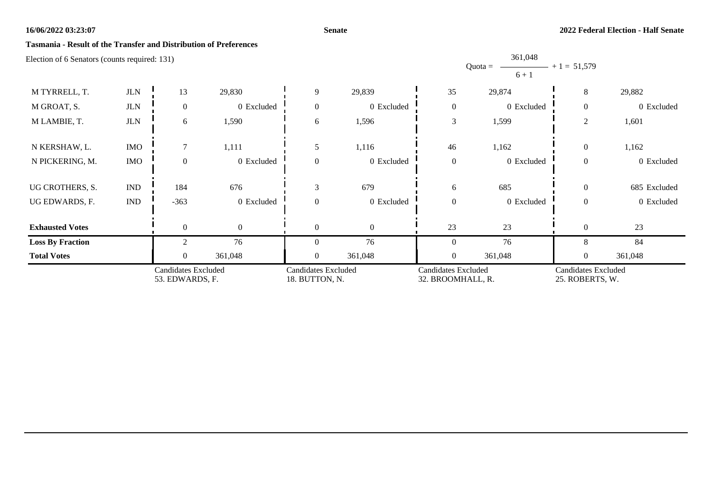## **Senate**

361,048

## **Tasmania - Result of the Transfer and Distribution of Preferences**

| Literion of 6 Benators (counts required: 1917 |                             |                                               |                |                                              |            |                  | Quota = $\longrightarrow$ + 1 = 51,579<br>$6 + 1$                                                |                |              |
|-----------------------------------------------|-----------------------------|-----------------------------------------------|----------------|----------------------------------------------|------------|------------------|--------------------------------------------------------------------------------------------------|----------------|--------------|
| M TYRRELL, T.                                 | $_{\rm JLN}$                | 13                                            | 29,830         | 9                                            | 29,839     | 35               | 29,874                                                                                           | 8              | 29,882       |
| M GROAT, S.                                   | <b>JLN</b>                  | $\overline{0}$                                | 0 Excluded     | $\theta$                                     | 0 Excluded | $\boldsymbol{0}$ | 0 Excluded                                                                                       | $\theta$       | 0 Excluded   |
| M LAMBIE, T.                                  | $_{\rm JLN}$                | 6                                             | 1,590          | 6                                            | 1,596      | 3                | 1,599                                                                                            | $\overline{2}$ | 1,601        |
| N KERSHAW, L.                                 | <b>IMO</b>                  | $\tau$                                        | 1,111          | 5                                            | 1,116      | $46\,$           | 1,162                                                                                            | $\overline{0}$ | 1,162        |
| N PICKERING, M.                               | <b>IMO</b>                  | $\overline{0}$                                | 0 Excluded     | $\overline{0}$                               | 0 Excluded | $\boldsymbol{0}$ | 0 Excluded                                                                                       | $\mathbf{0}$   | 0 Excluded   |
| UG CROTHERS, S.                               | <b>IND</b>                  | 184                                           | 676            | 3                                            | 679        | 6                | 685                                                                                              | $\mathbf{0}$   | 685 Excluded |
| UG EDWARDS, F.                                | $\mathop{\rm IND}\nolimits$ | $-363$                                        | 0 Excluded     | $\Omega$                                     | 0 Excluded | $\boldsymbol{0}$ | 0 Excluded                                                                                       | $\mathbf{0}$   | 0 Excluded   |
| <b>Exhausted Votes</b>                        |                             | $\theta$                                      | $\overline{0}$ | $\Omega$                                     | $\Omega$   | 23               | $23\,$                                                                                           | $\theta$       | 23           |
| <b>Loss By Fraction</b>                       |                             | $\mathfrak{D}$                                | 76             | $\Omega$                                     | 76         | $\overline{0}$   | 76                                                                                               | 8              | 84           |
| <b>Total Votes</b>                            |                             | $\overline{0}$                                | 361,048        | $\Omega$                                     | 361,048    | $\overline{0}$   | 361,048                                                                                          | $\overline{0}$ | 361,048      |
|                                               |                             | <b>Candidates Excluded</b><br>53. EDWARDS, F. |                | <b>Candidates Excluded</b><br>18. BUTTON, N. |            |                  | <b>Candidates Excluded</b><br><b>Candidates Excluded</b><br>32. BROOMHALL, R.<br>25. ROBERTS, W. |                |              |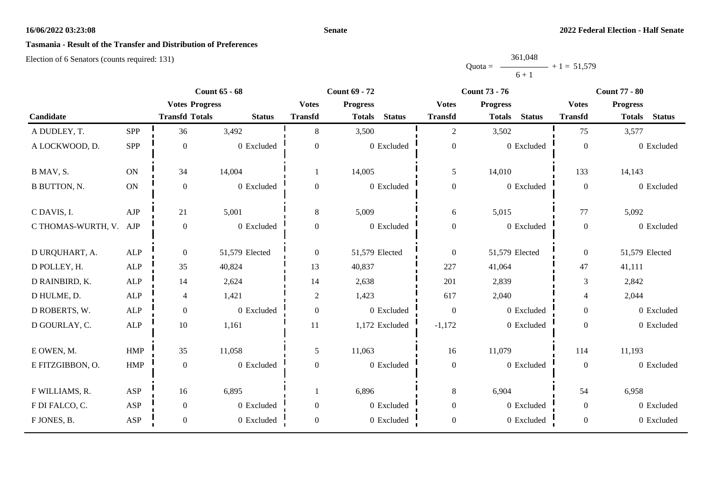## **Senate**

# **Tasmania - Result of the Transfer and Distribution of Preferences**

|           | 361,048 |               |
|-----------|---------|---------------|
| $Quota =$ |         | $+1 = 51,579$ |
|           | $6 + 1$ |               |

|                        |               | <b>Count 65 - 68</b>  |                |                  | <b>Count 69 - 72</b>           | <b>Count 73 - 76</b> |                                | <b>Count 77 - 80</b> |                                |
|------------------------|---------------|-----------------------|----------------|------------------|--------------------------------|----------------------|--------------------------------|----------------------|--------------------------------|
|                        |               | <b>Votes Progress</b> |                | <b>Votes</b>     | <b>Progress</b>                | <b>Votes</b>         | <b>Progress</b>                | <b>Votes</b>         | <b>Progress</b>                |
| Candidate              |               | <b>Transfd Totals</b> | <b>Status</b>  | <b>Transfd</b>   | <b>Status</b><br><b>Totals</b> | <b>Transfd</b>       | <b>Status</b><br><b>Totals</b> | <b>Transfd</b>       | <b>Status</b><br><b>Totals</b> |
| A DUDLEY, T.           | SPP           | 36                    | 3,492          | 8                | 3,500                          | $\overline{2}$       | 3,502                          | 75                   | 3,577                          |
| A LOCKWOOD, D.         | SPP           | $\mathbf{0}$          | 0 Excluded     | $\boldsymbol{0}$ | 0 Excluded                     | $\boldsymbol{0}$     | $0$ Excluded                   | $\mathbf{0}$         | 0 Excluded                     |
| B MAV, S.              | ON            | 34                    | 14,004         |                  | 14,005                         | 5                    | 14,010                         | 133                  | 14,143                         |
| <b>B BUTTON, N.</b>    | $\mathbf{ON}$ | $\boldsymbol{0}$      | 0 Excluded     | $\theta$         | 0 Excluded                     | $\boldsymbol{0}$     | $0$ Excluded                   | $\mathbf{0}$         | 0 Excluded                     |
| C DAVIS, I.            | ${\rm AJP}$   | 21                    | 5,001          | $\,8\,$          | 5,009                          | 6                    | 5,015                          | 77                   | 5,092                          |
| C THOMAS-WURTH, V. AJP |               | $\boldsymbol{0}$      | 0 Excluded     | $\boldsymbol{0}$ | 0 Excluded                     | $\boldsymbol{0}$     | 0 Excluded                     | $\mathbf{0}$         | 0 Excluded                     |
| D URQUHART, A.         | ALP           | $\boldsymbol{0}$      | 51,579 Elected | $\overline{0}$   | 51,579 Elected                 | $\overline{0}$       | 51,579 Elected                 | $\overline{0}$       | 51,579 Elected                 |
| D POLLEY, H.           | ALP           | 35                    | 40,824         | 13               | 40,837                         | 227                  | 41,064                         | 47                   | 41,111                         |
| D RAINBIRD, K.         | ALP           | 14                    | 2,624          | 14               | 2,638                          | 201                  | 2,839                          | 3                    | 2,842                          |
| D HULME, D.            | ${\sf ALP}$   | $\overline{4}$        | 1,421          | $\mathbf{2}$     | 1,423                          | 617                  | 2,040                          | $\overline{4}$       | 2,044                          |
| D ROBERTS, W.          | ALP           | $\boldsymbol{0}$      | 0 Excluded     | $\boldsymbol{0}$ | 0 Excluded                     | $\boldsymbol{0}$     | 0 Excluded                     | $\overline{0}$       | 0 Excluded                     |
| D GOURLAY, C.          | ${\sf ALP}$   | $10\,$                | 1,161          | 11               | 1,172 Excluded                 | $-1,172$             | 0 Excluded                     | $\Omega$             | 0 Excluded                     |
| E OWEN, M.             | HMP           | 35                    | 11,058         | 5                | 11,063                         | 16                   | 11,079                         | 114                  | 11,193                         |
| E FITZGIBBON, O.       | <b>HMP</b>    | $\boldsymbol{0}$      | 0 Excluded     | $\mathbf{0}$     | 0 Excluded                     | $\boldsymbol{0}$     | 0 Excluded                     | $\theta$             | 0 Excluded                     |
| F WILLIAMS, R.         | ASP           | 16                    | 6,895          |                  | 6,896                          | 8                    | 6,904                          | 54                   | 6,958                          |
| F DI FALCO, C.         | ASP           | $\boldsymbol{0}$      | 0 Excluded     | $\boldsymbol{0}$ | 0 Excluded                     | $\boldsymbol{0}$     | 0 Excluded                     | $\overline{0}$       | 0 Excluded                     |
| F JONES, B.            | ASP           | $\boldsymbol{0}$      | 0 Excluded     | $\boldsymbol{0}$ | 0 Excluded                     | $\boldsymbol{0}$     | 0 Excluded                     | $\mathbf{0}$         | 0 Excluded                     |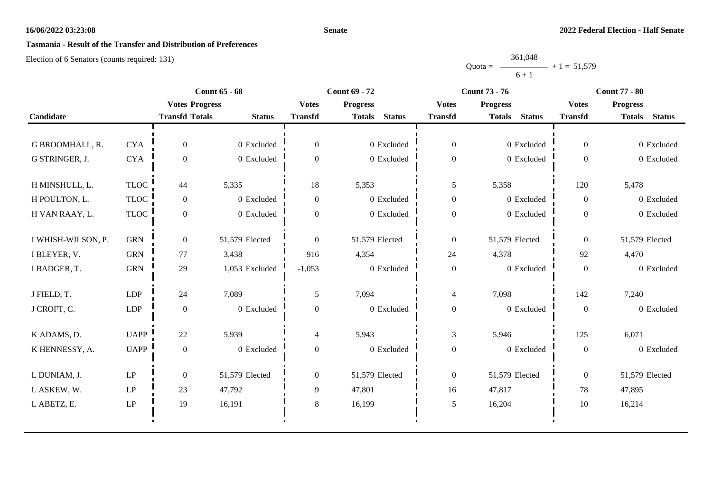## **Senate**

# **Tasmania - Result of the Transfer and Distribution of Preferences**

|           | 361,048 |               |
|-----------|---------|---------------|
| $Quota =$ |         | $+1 = 51,579$ |
|           | $6 + 1$ |               |

|                    |                            | <b>Count 65 - 68</b>  |                |                  | <b>Count 69 - 72</b>           |                  | <b>Count 73 - 76</b>           | <b>Count 77 - 80</b> |                                |  |
|--------------------|----------------------------|-----------------------|----------------|------------------|--------------------------------|------------------|--------------------------------|----------------------|--------------------------------|--|
|                    |                            | <b>Votes Progress</b> |                | <b>Votes</b>     | <b>Progress</b>                | <b>Votes</b>     | <b>Progress</b>                | <b>Votes</b>         | <b>Progress</b>                |  |
| Candidate          |                            | <b>Transfd Totals</b> | <b>Status</b>  | <b>Transfd</b>   | <b>Status</b><br><b>Totals</b> | <b>Transfd</b>   | <b>Status</b><br><b>Totals</b> | <b>Transfd</b>       | <b>Status</b><br><b>Totals</b> |  |
|                    |                            |                       |                |                  |                                |                  |                                |                      |                                |  |
| G BROOMHALL, R.    | <b>CYA</b>                 | $\overline{0}$        | 0 Excluded     | $\theta$         | 0 Excluded                     | $\overline{0}$   | 0 Excluded                     | $\overline{0}$       | 0 Excluded                     |  |
| G STRINGER, J.     | <b>CYA</b>                 | $\boldsymbol{0}$      | 0 Excluded     | $\overline{0}$   | 0 Excluded                     | $\boldsymbol{0}$ | $0$ Excluded                   | $\overline{0}$       | 0 Excluded                     |  |
| H MINSHULL, L.     | <b>TLOC</b>                | 44                    | 5,335          | 18               | 5,353                          | 5                | 5,358                          | 120                  | 5,478                          |  |
| H POULTON, L.      | <b>TLOC</b>                | $\overline{0}$        | 0 Excluded     | $\overline{0}$   | 0 Excluded                     | $\boldsymbol{0}$ | 0 Excluded                     | $\overline{0}$       | 0 Excluded                     |  |
| H VAN RAAY, L.     | <b>TLOC</b>                | $\overline{0}$        | 0 Excluded     | $\boldsymbol{0}$ | 0 Excluded                     | $\boldsymbol{0}$ | 0 Excluded                     | $\overline{0}$       | 0 Excluded                     |  |
|                    |                            |                       |                |                  |                                |                  |                                |                      |                                |  |
| I WHISH-WILSON, P. | <b>GRN</b>                 | $\overline{0}$        | 51,579 Elected | $\theta$         | 51,579 Elected                 | $\boldsymbol{0}$ | 51,579 Elected                 | $\overline{0}$       | 51,579 Elected                 |  |
| I BLEYER, V.       | <b>GRN</b>                 | 77                    | 3,438          | 916              | 4,354                          | 24               | 4,378                          | 92                   | 4,470                          |  |
| I BADGER, T.       | <b>GRN</b>                 | 29                    | 1,053 Excluded | $-1,053$         | 0 Excluded                     | $\boldsymbol{0}$ | 0 Excluded                     | $\overline{0}$       | 0 Excluded                     |  |
| J FIELD, T.        | <b>LDP</b>                 | 24                    | 7,089          | 5                | 7,094                          | 4                | 7,098                          | 142                  | 7,240                          |  |
| J CROFT, C.        | LDP                        | $\boldsymbol{0}$      | 0 Excluded     | $\boldsymbol{0}$ | 0 Excluded                     | $\boldsymbol{0}$ | 0 Excluded                     | $\boldsymbol{0}$     | 0 Excluded                     |  |
| K ADAMS, D.        | <b>UAPP</b>                | 22                    | 5,939          | 4                | 5,943                          | 3                | 5,946                          | 125                  | 6,071                          |  |
| K HENNESSY, A.     | <b>UAPP</b>                | $\boldsymbol{0}$      | 0 Excluded     | $\boldsymbol{0}$ | 0 Excluded                     | $\boldsymbol{0}$ | 0 Excluded                     | $\boldsymbol{0}$     | 0 Excluded                     |  |
|                    |                            |                       |                |                  |                                |                  |                                |                      |                                |  |
| L DUNIAM, J.       | LP                         | $\boldsymbol{0}$      | 51,579 Elected | $\overline{0}$   | 51,579 Elected                 | $\boldsymbol{0}$ | 51,579 Elected                 | $\overline{0}$       | 51,579 Elected                 |  |
| L ASKEW, W.        | $\operatorname{LP}$        | 23                    | 47,792         | 9                | 47,801                         | 16               | 47,817                         | 78                   | 47,895                         |  |
| L ABETZ, E.        | $\ensuremath{\mathrm{LP}}$ | 19                    | 16,191         | 8                | 16,199                         | 5                | 16,204                         | 10                   | 16,214                         |  |
|                    |                            |                       |                |                  |                                |                  |                                |                      |                                |  |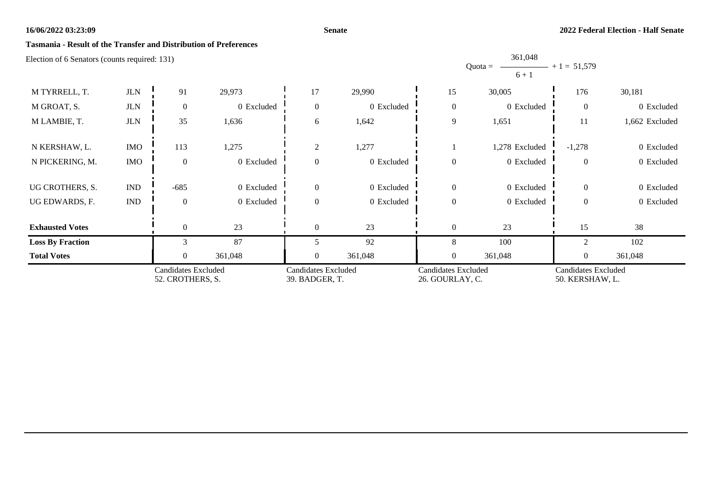## **Senate**

## **Tasmania - Result of the Transfer and Distribution of Preferences**

Election of 6 Senators (counts required: 131)

|                         |                             |                                         |            |                                       |            |                                        | $6 + 1$        |                                        |                |
|-------------------------|-----------------------------|-----------------------------------------|------------|---------------------------------------|------------|----------------------------------------|----------------|----------------------------------------|----------------|
| M TYRRELL, T.           | $_{\rm JLN}$                | 91                                      | 29,973     | 17                                    | 29,990     | 15                                     | 30,005         | 176                                    | 30,181         |
| M GROAT, S.             | $_{\rm JLN}$                | $\boldsymbol{0}$                        | 0 Excluded | $\mathbf{0}$                          | 0 Excluded | $\boldsymbol{0}$                       | 0 Excluded     | $\overline{0}$                         | 0 Excluded     |
| M LAMBIE, T.            | $_{\rm JLN}$                | 35                                      | 1,636      | 6                                     | 1,642      | 9                                      | 1,651          | 11                                     | 1,662 Excluded |
| N KERSHAW, L.           | <b>IMO</b>                  | 113                                     | 1,275      | $\mathfrak{2}$                        | 1,277      |                                        | 1,278 Excluded | $-1,278$                               | 0 Excluded     |
| N PICKERING, M.         | <b>IMO</b>                  | $\overline{0}$                          | 0 Excluded | $\overline{0}$                        | 0 Excluded | $\mathbf{0}$                           | 0 Excluded     | $\theta$                               | 0 Excluded     |
| UG CROTHERS, S.         | $\mathop{\rm IND}\nolimits$ | $-685$                                  | 0 Excluded | $\mathbf{0}$                          | 0 Excluded | $\boldsymbol{0}$                       | 0 Excluded     | $\overline{0}$                         | 0 Excluded     |
| UG EDWARDS, F.          | IND                         | $\Omega$                                | 0 Excluded | $\theta$                              | 0 Excluded | $\boldsymbol{0}$                       | 0 Excluded     | $\Omega$                               | 0 Excluded     |
| <b>Exhausted Votes</b>  |                             | $\overline{0}$                          | 23         | $\overline{0}$                        | 23         | $\boldsymbol{0}$                       | 23             | 15                                     | 38             |
| <b>Loss By Fraction</b> |                             | $\mathcal{R}$                           | 87         | 5                                     | 92         | 8                                      | 100            | ◠                                      | 102            |
| <b>Total Votes</b>      |                             | $\Omega$                                | 361,048    | $\theta$                              | 361,048    | $\mathbf{0}$                           | 361,048        | $\overline{0}$                         | 361,048        |
|                         |                             | Candidates Excluded<br>52. CROTHERS, S. |            | Candidates Excluded<br>39. BADGER, T. |            | Candidates Excluded<br>26. GOURLAY, C. |                | Candidates Excluded<br>50. KERSHAW, L. |                |

Quota =

361,048

 $+ 1 = 51,579$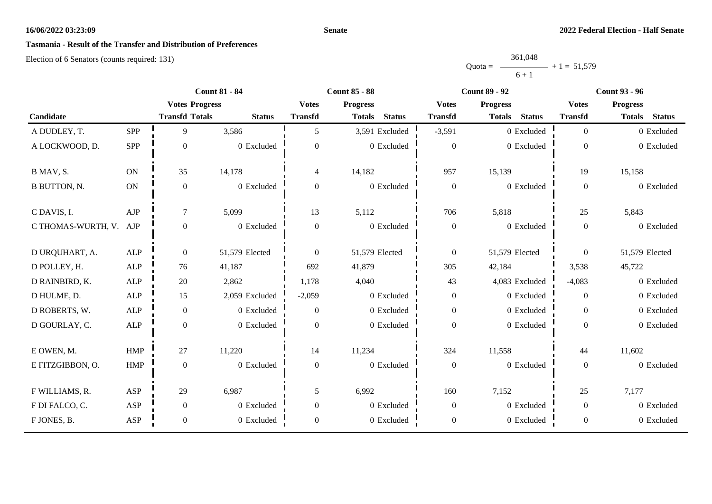## **Senate**

# **Tasmania - Result of the Transfer and Distribution of Preferences**

|           | 361,048 |               |
|-----------|---------|---------------|
| $Quota =$ |         | $+1 = 51,579$ |
|           | $6 + 1$ |               |

|                     |             |                       | <b>Count 81 - 84</b> | <b>Count 85 - 88</b>     |                                |                  | <b>Count 89 - 92</b>           | <b>Count 93 - 96</b> |                                |  |
|---------------------|-------------|-----------------------|----------------------|--------------------------|--------------------------------|------------------|--------------------------------|----------------------|--------------------------------|--|
|                     |             | <b>Votes Progress</b> |                      | <b>Votes</b>             | <b>Progress</b>                | <b>Votes</b>     | <b>Progress</b>                | <b>Votes</b>         | <b>Progress</b>                |  |
| Candidate           |             | <b>Transfd Totals</b> | <b>Status</b>        | <b>Transfd</b>           | <b>Status</b><br><b>Totals</b> | <b>Transfd</b>   | <b>Status</b><br><b>Totals</b> | <b>Transfd</b>       | <b>Status</b><br><b>Totals</b> |  |
| A DUDLEY, T.        | <b>SPP</b>  | 9                     | 3,586                | 5                        | 3,591 Excluded                 | $-3,591$         | 0 Excluded                     | $\overline{0}$       | 0 Excluded                     |  |
| A LOCKWOOD, D.      | SPP         | $\boldsymbol{0}$      | 0 Excluded           | $\overline{0}$           | 0 Excluded                     | $\theta$         | 0 Excluded                     | $\overline{0}$       | 0 Excluded                     |  |
| B MAV, S.           | <b>ON</b>   | 35                    | 14,178               | $\overline{\mathcal{L}}$ | 14,182                         | 957              | 15,139                         | 19                   | 15,158                         |  |
| <b>B BUTTON, N.</b> | ON          | $\boldsymbol{0}$      | 0 Excluded           | $\overline{0}$           | 0 Excluded                     | $\boldsymbol{0}$ | 0 Excluded                     | $\mathbf{0}$         | 0 Excluded                     |  |
| C DAVIS, I.         | AJP         | $\tau$                | 5,099                | 13                       | 5,112                          | 706              | 5,818                          | 25                   | 5,843                          |  |
| C THOMAS-WURTH, V.  | AJP         | $\boldsymbol{0}$      | $0$ Excluded         | $\overline{0}$           | 0 Excluded                     | $\boldsymbol{0}$ | 0 Excluded                     | $\mathbf{0}$         | 0 Excluded                     |  |
| D URQUHART, A.      | ALP         | $\boldsymbol{0}$      | 51,579 Elected       | $\theta$                 | 51,579 Elected                 | $\mathbf{0}$     | 51,579 Elected                 | $\overline{0}$       | 51,579 Elected                 |  |
| D POLLEY, H.        | ALP         | 76                    | 41,187               | 692                      | 41,879                         | 305              | 42,184                         | 3,538                | 45,722                         |  |
| D RAINBIRD, K.      | ${\sf ALP}$ | 20                    | 2,862                | 1,178                    | 4,040                          | 43               | 4,083 Excluded                 | $-4,083$             | 0 Excluded                     |  |
| D HULME, D.         | ALP         | 15                    | 2,059 Excluded       | $-2,059$                 | 0 Excluded                     | $\boldsymbol{0}$ | 0 Excluded                     | $\overline{0}$       | 0 Excluded                     |  |
| D ROBERTS, W.       | ALP         | $\overline{0}$        | 0 Excluded           | $\mathbf{0}$             | $0\,$ Excluded                 | $\boldsymbol{0}$ | 0 Excluded                     | $\overline{0}$       | 0 Excluded                     |  |
| D GOURLAY, C.       | ${\sf ALP}$ | $\boldsymbol{0}$      | 0 Excluded           | $\Omega$                 | 0 Excluded                     | $\boldsymbol{0}$ | 0 Excluded                     | $\Omega$             | 0 Excluded                     |  |
| E OWEN, M.          | <b>HMP</b>  | 27                    | 11,220               | 14                       | 11,234                         | 324              | 11,558                         | 44                   | 11,602                         |  |
| E FITZGIBBON, O.    | <b>HMP</b>  | $\boldsymbol{0}$      | 0 Excluded           | $\overline{0}$           | 0 Excluded                     | $\boldsymbol{0}$ | 0 Excluded                     | $\overline{0}$       | 0 Excluded                     |  |
| F WILLIAMS, R.      | ASP         | 29                    | 6,987                | 5                        | 6,992                          | 160              | 7,152                          | 25                   | 7,177                          |  |
| F DI FALCO, C.      | ASP         | $\boldsymbol{0}$      | 0 Excluded           | $\overline{0}$           | 0 Excluded                     | $\boldsymbol{0}$ | 0 Excluded                     | $\overline{0}$       | 0 Excluded                     |  |
| F JONES, B.         | ASP         | $\boldsymbol{0}$      | 0 Excluded           | $\overline{0}$           | 0 Excluded                     | $\boldsymbol{0}$ | 0 Excluded                     | $\boldsymbol{0}$     | 0 Excluded                     |  |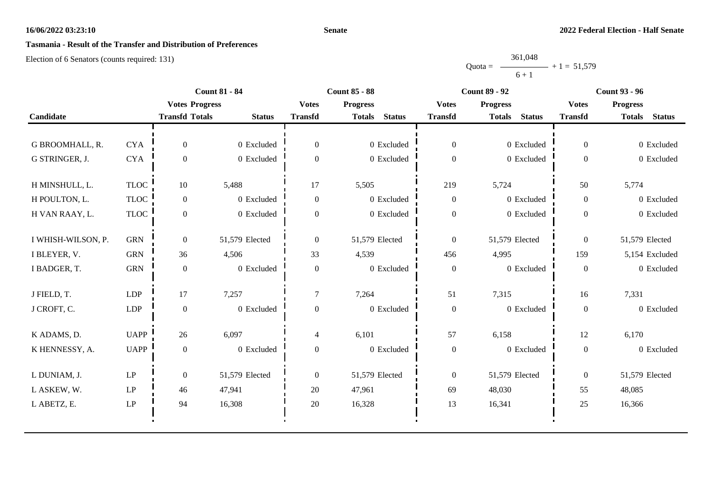## **Senate**

# **Tasmania - Result of the Transfer and Distribution of Preferences**

|           | 361,048 |               |
|-----------|---------|---------------|
| $Quota =$ |         | $+1 = 51,579$ |
|           | $6 + 1$ |               |

| <b>Transfd Totals</b>                                                                           | <b>Votes Progress</b>                                                   | <b>Votes</b>     | <b>Progress</b>                | <b>Votes</b>     |                                |                  |                                |
|-------------------------------------------------------------------------------------------------|-------------------------------------------------------------------------|------------------|--------------------------------|------------------|--------------------------------|------------------|--------------------------------|
|                                                                                                 |                                                                         |                  |                                |                  | <b>Progress</b>                | <b>Votes</b>     | <b>Progress</b>                |
|                                                                                                 | <b>Status</b>                                                           | <b>Transfd</b>   | <b>Status</b><br><b>Totals</b> | <b>Transfd</b>   | <b>Status</b><br><b>Totals</b> | <b>Transfd</b>   | <b>Status</b><br><b>Totals</b> |
|                                                                                                 |                                                                         |                  |                                |                  |                                |                  |                                |
| $\overline{0}$                                                                                  | 0 Excluded                                                              | $\overline{0}$   | 0 Excluded                     | $\overline{0}$   | 0 Excluded                     | $\overline{0}$   | 0 Excluded                     |
| $\boldsymbol{0}$                                                                                | 0 Excluded                                                              | $\Omega$         | 0 Excluded                     | $\boldsymbol{0}$ | 0 Excluded                     | $\overline{0}$   | 0 Excluded                     |
| 10                                                                                              |                                                                         | 17               |                                |                  |                                | 50               | 5,774                          |
| $\overline{0}$                                                                                  | 0 Excluded                                                              | $\overline{0}$   | 0 Excluded                     | $\overline{0}$   | 0 Excluded                     | $\overline{0}$   | 0 Excluded                     |
| $\overline{0}$                                                                                  | 0 Excluded                                                              | $\boldsymbol{0}$ | 0 Excluded                     | $\boldsymbol{0}$ | 0 Excluded                     | $\overline{0}$   | 0 Excluded                     |
| $\overline{0}$                                                                                  | 51,579 Elected                                                          | $\overline{0}$   | 51,579 Elected                 | $\boldsymbol{0}$ | 51,579 Elected                 | $\overline{0}$   | 51,579 Elected                 |
| 36                                                                                              | 4,506                                                                   | 33               | 4,539                          | 456              | 4,995                          | 159              | 5,154 Excluded                 |
| $\boldsymbol{0}$                                                                                | 0 Excluded                                                              | $\boldsymbol{0}$ | 0 Excluded                     | $\boldsymbol{0}$ | $0$ Excluded                   | $\boldsymbol{0}$ | 0 Excluded                     |
| $17\,$                                                                                          | 7,257                                                                   | $\overline{7}$   | 7,264                          | 51               | 7,315                          | 16               | 7,331                          |
| $\boldsymbol{0}$                                                                                | 0 Excluded                                                              | $\mathbf{0}$     | 0 Excluded                     | $\boldsymbol{0}$ | 0 Excluded                     | $\mathbf{0}$     | 0 Excluded                     |
| 26                                                                                              | 6,097                                                                   | $\overline{4}$   | 6,101                          | 57               | 6,158                          | 12               | 6,170                          |
| $\boldsymbol{0}$                                                                                | 0 Excluded                                                              | $\boldsymbol{0}$ | 0 Excluded                     | $\boldsymbol{0}$ | 0 Excluded                     | $\boldsymbol{0}$ | 0 Excluded                     |
| $\boldsymbol{0}$                                                                                | 51,579 Elected                                                          | $\overline{0}$   | 51,579 Elected                 | $\boldsymbol{0}$ | 51,579 Elected                 | $\overline{0}$   | 51,579 Elected                 |
| 46                                                                                              | 47,941                                                                  | 20               | 47,961                         | 69               | 48,030                         | 55               | 48,085                         |
| 94                                                                                              | 16,308                                                                  | 20               | 16,328                         | 13               | 16,341                         | 25               | 16,366                         |
| <b>CYA</b><br><b>CYA</b><br><b>GRN</b><br><b>GRN</b><br>${\rm GRN}$<br><b>LDP</b><br><b>LDP</b> | <b>TLOC</b><br><b>TLOC</b><br><b>TLOC</b><br><b>UAPP</b><br><b>UAPP</b> | 5,488            |                                | 5,505            | 219                            | 5,724            |                                |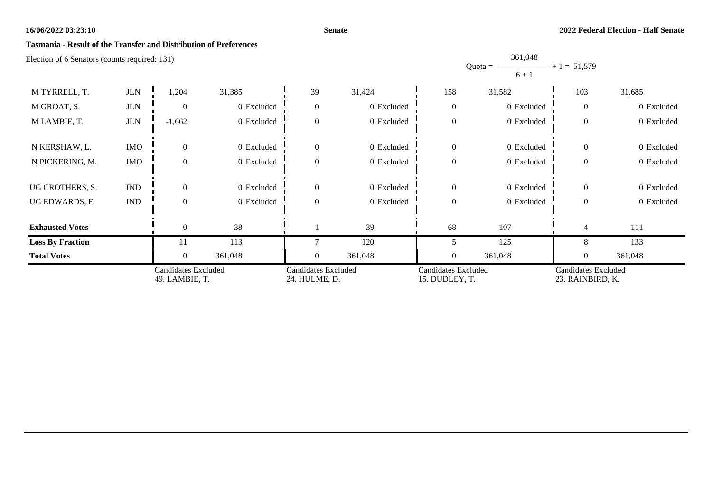## **Senate**

## **Tasmania - Result of the Transfer and Distribution of Preferences**

Election of 6 Senators (counts required: 131)

|                         |                             |                                       |            |                                      |            |                                       | $6 + 1$    |                                         |            |
|-------------------------|-----------------------------|---------------------------------------|------------|--------------------------------------|------------|---------------------------------------|------------|-----------------------------------------|------------|
| M TYRRELL, T.           | $JLN$                       | 1,204                                 | 31,385     | 39                                   | 31,424     | 158                                   | 31,582     | 103                                     | 31,685     |
| M GROAT, S.             | <b>JLN</b>                  | $\overline{0}$                        | 0 Excluded | $\boldsymbol{0}$                     | 0 Excluded | $\mathbf{0}$                          | 0 Excluded | $\overline{0}$                          | 0 Excluded |
| M LAMBIE, T.            | <b>JLN</b>                  | $-1,662$                              | 0 Excluded | $\boldsymbol{0}$                     | 0 Excluded | $\boldsymbol{0}$                      | 0 Excluded | $\mathbf{0}$                            | 0 Excluded |
| N KERSHAW, L.           | <b>IMO</b>                  | $\overline{0}$                        | 0 Excluded | $\boldsymbol{0}$                     | 0 Excluded | $\mathbf{0}$                          | 0 Excluded | $\overline{0}$                          | 0 Excluded |
| N PICKERING, M.         | <b>IMO</b>                  | $\overline{0}$                        | 0 Excluded | $\boldsymbol{0}$                     | 0 Excluded | $\boldsymbol{0}$                      | 0 Excluded | $\theta$                                | 0 Excluded |
| UG CROTHERS, S.         | $\mathop{\rm IND}\nolimits$ | $\overline{0}$                        | 0 Excluded | $\boldsymbol{0}$                     | 0 Excluded | $\mathbf{0}$                          | 0 Excluded | $\mathbf{0}$                            | 0 Excluded |
| UG EDWARDS, F.          | $\mathop{\rm IND}\nolimits$ | $\overline{0}$                        | 0 Excluded | $\boldsymbol{0}$                     | 0 Excluded | $\boldsymbol{0}$                      | 0 Excluded | $\theta$                                | 0 Excluded |
| <b>Exhausted Votes</b>  |                             | $\theta$                              | 38         |                                      | 39         | 68                                    | 107        | $\overline{4}$                          | 111        |
| <b>Loss By Fraction</b> |                             | 11                                    | 113        | $\mathcal{I}$                        | 120        | 5                                     | 125        | 8                                       | 133        |
| <b>Total Votes</b>      |                             | $\overline{0}$                        | 361,048    | $\overline{0}$                       | 361,048    | $\overline{0}$                        | 361,048    | $\boldsymbol{0}$                        | 361,048    |
|                         |                             | Candidates Excluded<br>49. LAMBIE, T. |            | Candidates Excluded<br>24. HULME, D. |            | Candidates Excluded<br>15. DUDLEY, T. |            | Candidates Excluded<br>23. RAINBIRD, K. |            |

Quota =

361,048

 $+ 1 = 51,579$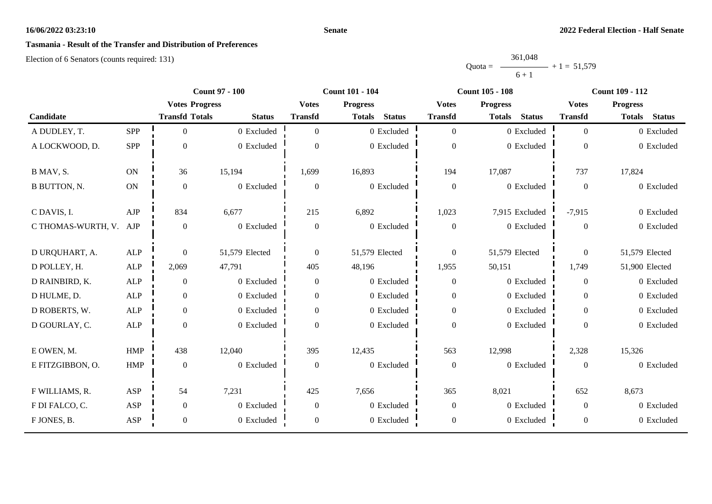## **Senate**

# **Tasmania - Result of the Transfer and Distribution of Preferences**

|           | 361,048 |               |
|-----------|---------|---------------|
| $Quota =$ |         | $+1 = 51,579$ |
|           | $6 + 1$ |               |

|                     |             | <b>Count 97 - 100</b> |                |                | <b>Count 101 - 104</b>         |                  | <b>Count 105 - 108</b>         | <b>Count 109 - 112</b> |                                |  |
|---------------------|-------------|-----------------------|----------------|----------------|--------------------------------|------------------|--------------------------------|------------------------|--------------------------------|--|
|                     |             | <b>Votes Progress</b> |                | <b>Votes</b>   | <b>Progress</b>                | <b>Votes</b>     | <b>Progress</b>                | <b>Votes</b>           | <b>Progress</b>                |  |
| Candidate           |             | <b>Transfd Totals</b> | <b>Status</b>  | <b>Transfd</b> | <b>Status</b><br><b>Totals</b> | <b>Transfd</b>   | <b>Status</b><br><b>Totals</b> | <b>Transfd</b>         | <b>Status</b><br><b>Totals</b> |  |
| A DUDLEY, T.        | <b>SPP</b>  | $\overline{0}$        | 0 Excluded     | $\Omega$       | 0 Excluded                     | $\overline{0}$   | 0 Excluded                     | $\theta$               | 0 Excluded                     |  |
| A LOCKWOOD, D.      | <b>SPP</b>  | $\boldsymbol{0}$      | 0 Excluded     | 0              | 0 Excluded                     | $\boldsymbol{0}$ | 0 Excluded                     | $\Omega$               | 0 Excluded                     |  |
| B MAV, S.           | <b>ON</b>   | 36                    | 15,194         | 1,699          | 16,893                         | 194              | 17,087                         | 737                    | 17,824                         |  |
| <b>B BUTTON, N.</b> | ON          | $\boldsymbol{0}$      | 0 Excluded     | $\overline{0}$ | $0\,$ Excluded                 | $\boldsymbol{0}$ | 0 Excluded                     | $\Omega$               | 0 Excluded                     |  |
| C DAVIS, I.         | AJP         | 834                   | 6,677          | 215            | 6,892                          | 1,023            | 7,915 Excluded                 | $-7,915$               | 0 Excluded                     |  |
| C THOMAS-WURTH, V.  | AJP         | $\boldsymbol{0}$      | 0 Excluded     | $\overline{0}$ | 0 Excluded                     | $\boldsymbol{0}$ | 0 Excluded                     | $\theta$               | 0 Excluded                     |  |
| D URQUHART, A.      | ${\sf ALP}$ | $\boldsymbol{0}$      | 51,579 Elected | $\theta$       | 51,579 Elected                 | $\overline{0}$   | 51,579 Elected                 | $\theta$               | 51,579 Elected                 |  |
| D POLLEY, H.        | <b>ALP</b>  | 2,069                 | 47,791         | 405            | 48,196                         | 1,955            | 50,151                         | 1,749                  | 51,900 Elected                 |  |
| D RAINBIRD, K.      | ALP         | $\boldsymbol{0}$      | 0 Excluded     | $\overline{0}$ | 0 Excluded                     | $\boldsymbol{0}$ | 0 Excluded                     | $\theta$               | 0 Excluded                     |  |
| D HULME, D.         | <b>ALP</b>  | $\boldsymbol{0}$      | 0 Excluded     | $\overline{0}$ | 0 Excluded                     | $\overline{0}$   | 0 Excluded                     | $\overline{0}$         | 0 Excluded                     |  |
| D ROBERTS, W.       | <b>ALP</b>  | $\boldsymbol{0}$      | 0 Excluded     | $\overline{0}$ | 0 Excluded                     | $\boldsymbol{0}$ | 0 Excluded                     | $\Omega$               | 0 Excluded                     |  |
| D GOURLAY, C.       | <b>ALP</b>  | $\boldsymbol{0}$      | 0 Excluded     | $\Omega$       | 0 Excluded                     | $\boldsymbol{0}$ | 0 Excluded                     | $\Omega$               | 0 Excluded                     |  |
| E OWEN, M.          | <b>HMP</b>  | 438                   | 12,040         | 395            | 12,435                         | 563              | 12,998                         | 2,328                  | 15,326                         |  |
| E FITZGIBBON, O.    | <b>HMP</b>  | $\boldsymbol{0}$      | 0 Excluded     | $\mathbf{0}$   | 0 Excluded                     | $\boldsymbol{0}$ | 0 Excluded                     | $\overline{0}$         | 0 Excluded                     |  |
| F WILLIAMS, R.      | ASP         | 54                    | 7,231          | 425            | 7,656                          | 365              | 8,021                          | 652                    | 8,673                          |  |
| F DI FALCO, C.      | ASP         | $\boldsymbol{0}$      | 0 Excluded     | $\overline{0}$ | 0 Excluded                     | $\boldsymbol{0}$ | 0 Excluded                     | $\overline{0}$         | 0 Excluded                     |  |
| F JONES, B.         | ASP         | $\boldsymbol{0}$      | 0 Excluded     | $\overline{0}$ | 0 Excluded                     | $\boldsymbol{0}$ | 0 Excluded                     | $\overline{0}$         | 0 Excluded                     |  |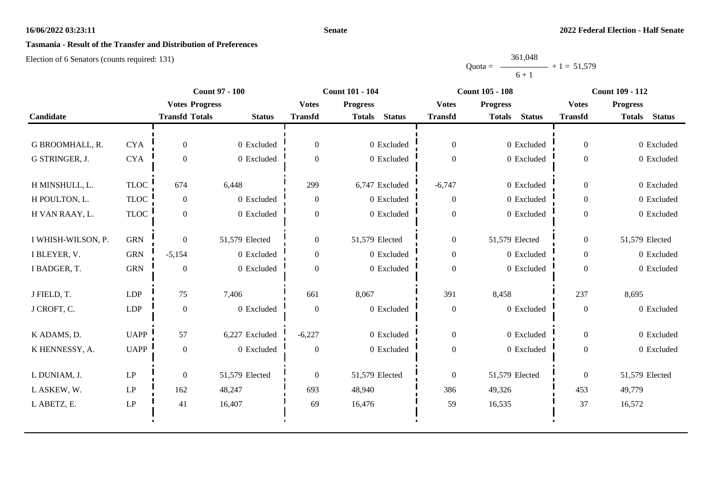## **Senate**

# **Tasmania - Result of the Transfer and Distribution of Preferences**

|           | 361,048 |               |
|-----------|---------|---------------|
| $Quota =$ |         | $+1 = 51,579$ |
|           | $6 + 1$ |               |

|                    |                            | <b>Count 97 - 100</b> |                |                  | <b>Count 101 - 104</b>         |                  | <b>Count 105 - 108</b>         | <b>Count 109 - 112</b> |                                |
|--------------------|----------------------------|-----------------------|----------------|------------------|--------------------------------|------------------|--------------------------------|------------------------|--------------------------------|
|                    |                            | <b>Votes Progress</b> |                | <b>Votes</b>     | <b>Progress</b>                | <b>Votes</b>     | <b>Progress</b>                | <b>Votes</b>           | <b>Progress</b>                |
| Candidate          |                            | <b>Transfd Totals</b> | <b>Status</b>  | <b>Transfd</b>   | <b>Status</b><br><b>Totals</b> | <b>Transfd</b>   | <b>Status</b><br><b>Totals</b> | <b>Transfd</b>         | <b>Totals</b><br><b>Status</b> |
|                    |                            |                       |                |                  |                                |                  |                                |                        |                                |
| G BROOMHALL, R.    | <b>CYA</b>                 | $\overline{0}$        | 0 Excluded     | $\overline{0}$   | 0 Excluded                     | $\boldsymbol{0}$ | 0 Excluded                     | $\mathbf{0}$           | 0 Excluded                     |
| G STRINGER, J.     | <b>CYA</b>                 | $\boldsymbol{0}$      | 0 Excluded     | $\overline{0}$   | 0 Excluded                     | $\boldsymbol{0}$ | 0 Excluded                     | $\overline{0}$         | 0 Excluded                     |
| H MINSHULL, L.     | <b>TLOC</b>                | 674                   | 6,448          | 299              | 6,747 Excluded                 | $-6,747$         | 0 Excluded                     | $\overline{0}$         | 0 Excluded                     |
| H POULTON, L.      | <b>TLOC</b>                | $\overline{0}$        | 0 Excluded     | $\boldsymbol{0}$ | 0 Excluded                     | $\boldsymbol{0}$ | 0 Excluded                     | $\overline{0}$         | 0 Excluded                     |
| H VAN RAAY, L.     | <b>TLOC</b>                | $\overline{0}$        | 0 Excluded     | $\boldsymbol{0}$ | 0 Excluded                     | $\boldsymbol{0}$ | 0 Excluded                     | $\overline{0}$         | 0 Excluded                     |
|                    |                            |                       |                |                  |                                |                  |                                |                        |                                |
| I WHISH-WILSON, P. | <b>GRN</b>                 | $\overline{0}$        | 51,579 Elected | $\overline{0}$   | 51,579 Elected                 | $\overline{0}$   | 51,579 Elected                 | $\overline{0}$         | 51,579 Elected                 |
| I BLEYER, V.       | <b>GRN</b>                 | $-5,154$              | 0 Excluded     | $\overline{0}$   | 0 Excluded                     | $\boldsymbol{0}$ | 0 Excluded                     | $\mathbf{0}$           | 0 Excluded                     |
| I BADGER, T.       | <b>GRN</b>                 | $\boldsymbol{0}$      | 0 Excluded     | $\boldsymbol{0}$ | 0 Excluded                     | $\boldsymbol{0}$ | 0 Excluded                     | $\boldsymbol{0}$       | 0 Excluded                     |
| J FIELD, T.        | <b>LDP</b>                 | 75                    | 7,406          | 661              | 8,067                          | 391              | 8,458                          | 237                    | 8,695                          |
| J CROFT, C.        | <b>LDP</b>                 | $\boldsymbol{0}$      | 0 Excluded     | $\overline{0}$   | 0 Excluded                     | $\boldsymbol{0}$ | 0 Excluded                     | $\boldsymbol{0}$       | 0 Excluded                     |
|                    |                            |                       |                |                  |                                |                  |                                |                        |                                |
| K ADAMS, D.        | <b>UAPP</b>                | 57                    | 6,227 Excluded | $-6,227$         | 0 Excluded                     | $\boldsymbol{0}$ | 0 Excluded                     | $\overline{0}$         | 0 Excluded                     |
| K HENNESSY, A.     | <b>UAPP</b>                | $\boldsymbol{0}$      | 0 Excluded     | $\overline{0}$   | 0 Excluded                     | $\boldsymbol{0}$ | 0 Excluded                     | $\overline{0}$         | 0 Excluded                     |
| L DUNIAM, J.       | $\ensuremath{\mathrm{LP}}$ | $\boldsymbol{0}$      | 51,579 Elected | $\overline{0}$   | 51,579 Elected                 | $\boldsymbol{0}$ | 51,579 Elected                 | $\overline{0}$         | 51,579 Elected                 |
| L ASKEW, W.        | $\mathbf{L}\mathbf{P}$     | 162                   | 48,247         | 693              | 48,940                         | 386              | 49,326                         | 453                    | 49,779                         |
| L ABETZ, E.        | $\operatorname{LP}$        | 41                    | 16,407         | 69               | 16,476                         | 59               | 16,535                         | 37                     | 16,572                         |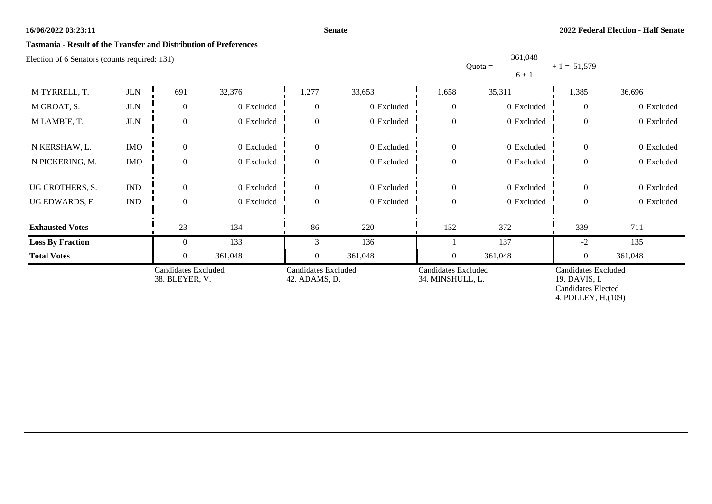**Senate**

## **Tasmania - Result of the Transfer and Distribution of Preferences**

Election of 6 Senators (counts required: 131)

|                         |                                              |                  |                                             |                  |                                                |                  | $6 + 1$                                                                                        |                |            |
|-------------------------|----------------------------------------------|------------------|---------------------------------------------|------------------|------------------------------------------------|------------------|------------------------------------------------------------------------------------------------|----------------|------------|
| M TYRRELL, T.           | $_{\rm JLN}$                                 | 691              | 32,376                                      | 1,277            | 33,653                                         | 1,658            | 35,311                                                                                         | 1,385          | 36,696     |
| M GROAT, S.             | <b>JLN</b>                                   | $\overline{0}$   | 0 Excluded                                  | $\overline{0}$   | 0 Excluded                                     | $\mathbf{0}$     | 0 Excluded                                                                                     | $\overline{0}$ | 0 Excluded |
| M LAMBIE, T.            | $JLN$                                        | $\overline{0}$   | 0 Excluded                                  | $\boldsymbol{0}$ | 0 Excluded                                     | $\boldsymbol{0}$ | 0 Excluded                                                                                     | $\overline{0}$ | 0 Excluded |
| N KERSHAW, L.           | <b>IMO</b>                                   | $\overline{0}$   | 0 Excluded                                  | $\boldsymbol{0}$ | 0 Excluded                                     | $\mathbf{0}$     | 0 Excluded                                                                                     | $\overline{0}$ | 0 Excluded |
| N PICKERING, M.         | <b>IMO</b>                                   | $\overline{0}$   | 0 Excluded                                  | $\boldsymbol{0}$ | 0 Excluded                                     | $\boldsymbol{0}$ | 0 Excluded                                                                                     | $\overline{0}$ | 0 Excluded |
| UG CROTHERS, S.         | <b>IND</b>                                   | $\overline{0}$   | 0 Excluded                                  | $\boldsymbol{0}$ | 0 Excluded                                     | $\boldsymbol{0}$ | 0 Excluded                                                                                     | $\mathbf{0}$   | 0 Excluded |
| UG EDWARDS, F.          | <b>IND</b>                                   | $\boldsymbol{0}$ | 0 Excluded                                  | $\boldsymbol{0}$ | 0 Excluded                                     | $\boldsymbol{0}$ | 0 Excluded                                                                                     | $\overline{0}$ | 0 Excluded |
| <b>Exhausted Votes</b>  |                                              | 23               | 134                                         | 86               | 220                                            | 152              | 372                                                                                            | 339            | 711        |
| <b>Loss By Fraction</b> |                                              | $\theta$         | 133                                         | 3                | 136                                            |                  | 137                                                                                            | $-2$           | 135        |
| <b>Total Votes</b>      |                                              | $\overline{0}$   | 361,048                                     | $\overline{0}$   | 361,048                                        | $\overline{0}$   | 361,048                                                                                        | $\overline{0}$ | 361,048    |
|                         | <b>Candidates Excluded</b><br>38. BLEYER, V. |                  | <b>Candidates Excluded</b><br>42. ADAMS, D. |                  | <b>Candidates Excluded</b><br>34. MINSHULL, L. |                  | <b>Candidates Excluded</b><br>19. DAVIS, I.<br><b>Candidates Elected</b><br>4. POLLEY, H.(109) |                |            |

Quota =

361,048

 $+ 1 = 51,579$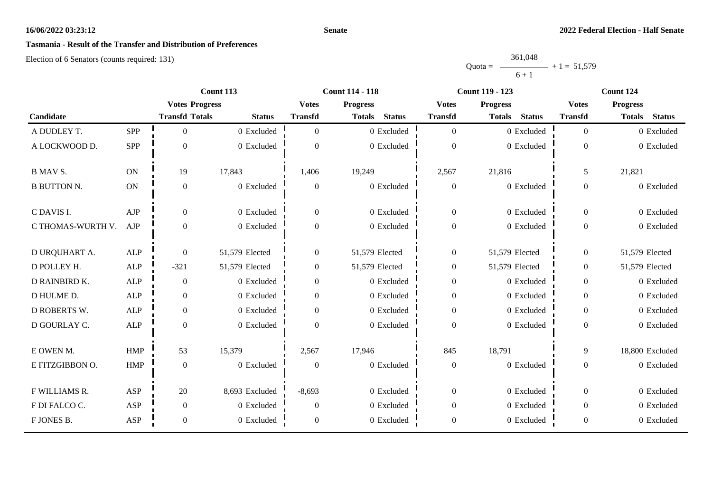## **Senate**

# **Tasmania - Result of the Transfer and Distribution of Preferences**

|           | 361,048 |               |
|-----------|---------|---------------|
| $Quota =$ |         | $+1 = 51,579$ |
|           | $6 + 1$ |               |

|                    |            |                       | Count 113             | <b>Count 114 - 118</b> |                |                                 |                  | <b>Count 119 - 123</b> |                 | Count 124        |                |                                 |  |  |
|--------------------|------------|-----------------------|-----------------------|------------------------|----------------|---------------------------------|------------------|------------------------|-----------------|------------------|----------------|---------------------------------|--|--|
|                    |            |                       | <b>Votes Progress</b> |                        |                | <b>Votes</b><br><b>Progress</b> |                  | <b>Votes</b>           | <b>Progress</b> |                  |                | <b>Progress</b><br><b>Votes</b> |  |  |
| Candidate          |            | <b>Transfd Totals</b> | <b>Status</b>         | <b>Transfd</b>         | <b>Totals</b>  | <b>Status</b>                   | <b>Transfd</b>   | <b>Totals</b>          | <b>Status</b>   | <b>Transfd</b>   | <b>Totals</b>  | <b>Status</b>                   |  |  |
| A DUDLEY T.        | <b>SPP</b> | $\Omega$              | 0 Excluded            | $\Omega$               |                | 0 Excluded                      | $\overline{0}$   |                        | 0 Excluded      | $\overline{0}$   |                | 0 Excluded                      |  |  |
| A LOCKWOOD D.      | <b>SPP</b> | $\Omega$              | 0 Excluded            | $\Omega$               |                | 0 Excluded                      | $\mathbf{0}$     |                        | 0 Excluded      | $\boldsymbol{0}$ |                | 0 Excluded                      |  |  |
| <b>B MAV S.</b>    | <b>ON</b>  | 19                    | 17,843                | 1,406                  | 19,249         |                                 | 2,567            | 21,816                 |                 | 5                | 21,821         |                                 |  |  |
| <b>B BUTTON N.</b> | <b>ON</b>  | $\theta$              | 0 Excluded            | $\overline{0}$         |                | 0 Excluded                      | $\boldsymbol{0}$ |                        | 0 Excluded      | $\Omega$         |                | 0 Excluded                      |  |  |
| C DAVIS I.         | AJP        | $\overline{0}$        | 0 Excluded            | $\mathbf{0}$           |                | 0 Excluded                      | $\boldsymbol{0}$ |                        | 0 Excluded      | $\theta$         |                | 0 Excluded                      |  |  |
| C THOMAS-WURTH V.  | AJP        | $\theta$              | 0 Excluded            | $\overline{0}$         |                | 0 Excluded                      | $\boldsymbol{0}$ |                        | 0 Excluded      | $\boldsymbol{0}$ |                | 0 Excluded                      |  |  |
| D URQUHART A.      | <b>ALP</b> | $\overline{0}$        | 51,579 Elected        | $\boldsymbol{0}$       | 51,579 Elected |                                 | $\boldsymbol{0}$ | 51,579 Elected         |                 | $\overline{0}$   | 51,579 Elected |                                 |  |  |
| D POLLEY H.        | <b>ALP</b> | $-321$                | 51,579 Elected        | $\boldsymbol{0}$       | 51,579 Elected |                                 | $\boldsymbol{0}$ | 51,579 Elected         |                 | $\theta$         | 51,579 Elected |                                 |  |  |
| D RAINBIRD K.      | <b>ALP</b> | $\boldsymbol{0}$      | 0 Excluded            | $\boldsymbol{0}$       |                | 0 Excluded                      | $\boldsymbol{0}$ |                        | 0 Excluded      | $\mathbf{0}$     |                | 0 Excluded                      |  |  |
| D HULME D.         | <b>ALP</b> | $\Omega$              | 0 Excluded            | $\Omega$               |                | 0 Excluded                      | $\boldsymbol{0}$ |                        | 0 Excluded      | $\Omega$         |                | 0 Excluded                      |  |  |
| D ROBERTS W.       | <b>ALP</b> | $\Omega$              | 0 Excluded            | $\Omega$               |                | 0 Excluded                      | $\boldsymbol{0}$ |                        | 0 Excluded      | $\Omega$         |                | 0 Excluded                      |  |  |
| D GOURLAY C.       | <b>ALP</b> | $\theta$              | 0 Excluded            | $\overline{0}$         |                | $0$ Excluded                    | $\boldsymbol{0}$ |                        | 0 Excluded      | $\overline{0}$   |                | 0 Excluded                      |  |  |
| E OWEN M.          | <b>HMP</b> | 53                    | 15,379                | 2,567                  | 17,946         |                                 | 845              | 18,791                 |                 | 9                |                | 18,800 Excluded                 |  |  |
| E FITZGIBBON O.    | <b>HMP</b> | $\Omega$              | 0 Excluded            | $\theta$               |                | 0 Excluded                      | $\boldsymbol{0}$ |                        | 0 Excluded      | $\theta$         |                | 0 Excluded                      |  |  |
| F WILLIAMS R.      | ASP        | 20                    | 8,693 Excluded        | $-8,693$               |                | 0 Excluded                      | $\boldsymbol{0}$ |                        | 0 Excluded      | $\overline{0}$   |                | 0 Excluded                      |  |  |
| F DI FALCO C.      | <b>ASP</b> | $\mathbf{0}$          | 0 Excluded            | $\mathbf{0}$           |                | 0 Excluded                      | $\boldsymbol{0}$ |                        | 0 Excluded      | $\overline{0}$   |                | 0 Excluded                      |  |  |
| F JONES B.         | <b>ASP</b> | $\overline{0}$        | 0 Excluded            | $\overline{0}$         |                | 0 Excluded                      | $\boldsymbol{0}$ |                        | 0 Excluded      | $\boldsymbol{0}$ |                | 0 Excluded                      |  |  |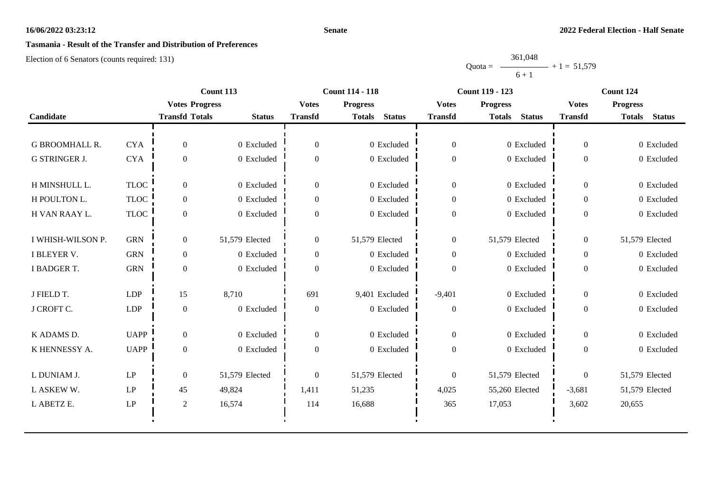## **Senate**

# **Tasmania - Result of the Transfer and Distribution of Preferences**

|           | 361,048 |               |
|-----------|---------|---------------|
| $Quota =$ |         | $+1 = 51,579$ |
|           | $6 + 1$ |               |

|                       |                        |                       | Count 113      |                | <b>Count 114 - 118</b>         |                  | <b>Count 119 - 123</b>         | Count 124      |                                |  |
|-----------------------|------------------------|-----------------------|----------------|----------------|--------------------------------|------------------|--------------------------------|----------------|--------------------------------|--|
|                       |                        | <b>Votes Progress</b> |                | <b>Votes</b>   | <b>Progress</b>                | <b>Votes</b>     | <b>Progress</b>                | <b>Votes</b>   | <b>Progress</b>                |  |
| Candidate             |                        | <b>Transfd Totals</b> | <b>Status</b>  | <b>Transfd</b> | <b>Status</b><br><b>Totals</b> | <b>Transfd</b>   | <b>Status</b><br><b>Totals</b> | <b>Transfd</b> | <b>Status</b><br><b>Totals</b> |  |
|                       |                        |                       |                |                |                                |                  |                                |                |                                |  |
| <b>G BROOMHALL R.</b> | <b>CYA</b>             | $\overline{0}$        | 0 Excluded     | $\overline{0}$ | 0 Excluded                     | $\overline{0}$   | 0 Excluded                     | $\Omega$       | 0 Excluded                     |  |
| <b>G STRINGER J.</b>  | <b>CYA</b>             | $\boldsymbol{0}$      | 0 Excluded     | $\overline{0}$ | 0 Excluded                     | $\boldsymbol{0}$ | 0 Excluded                     | $\theta$       | 0 Excluded                     |  |
| H MINSHULL L.         | <b>TLOC</b>            | $\overline{0}$        | 0 Excluded     | $\theta$       | 0 Excluded                     | $\boldsymbol{0}$ | 0 Excluded                     | $\theta$       | 0 Excluded                     |  |
| H POULTON L.          | <b>TLOC</b>            | $\overline{0}$        | 0 Excluded     | $\overline{0}$ | 0 Excluded                     | $\boldsymbol{0}$ | 0 Excluded                     | $\overline{0}$ | 0 Excluded                     |  |
| H VAN RAAY L.         | <b>TLOC</b>            | $\boldsymbol{0}$      | 0 Excluded     | $\overline{0}$ | 0 Excluded                     | $\boldsymbol{0}$ | 0 Excluded                     | $\overline{0}$ | 0 Excluded                     |  |
| I WHISH-WILSON P.     | <b>GRN</b>             | $\overline{0}$        | 51,579 Elected | $\overline{0}$ | 51,579 Elected                 | $\overline{0}$   | 51,579 Elected                 | $\Omega$       | 51,579 Elected                 |  |
| I BLEYER V.           | <b>GRN</b>             | $\overline{0}$        | 0 Excluded     | $\overline{0}$ | 0 Excluded                     | $\overline{0}$   | 0 Excluded                     | $\overline{0}$ | 0 Excluded                     |  |
| I BADGER T.           | <b>GRN</b>             | $\overline{0}$        | 0 Excluded     | $\mathbf{0}$   | 0 Excluded                     | $\boldsymbol{0}$ | 0 Excluded                     | $\overline{0}$ | 0 Excluded                     |  |
| J FIELD T.            | <b>LDP</b>             | 15                    | 8,710          | 691            | 9,401 Excluded                 | $-9,401$         | 0 Excluded                     | $\overline{0}$ | 0 Excluded                     |  |
| J CROFT C.            | <b>LDP</b>             | $\boldsymbol{0}$      | 0 Excluded     | $\theta$       | 0 Excluded                     | $\boldsymbol{0}$ | 0 Excluded                     | $\overline{0}$ | 0 Excluded                     |  |
| K ADAMS D.            | <b>UAPP</b>            | $\Omega$              | 0 Excluded     | $\overline{0}$ | 0 Excluded                     | $\overline{0}$   | 0 Excluded                     | $\theta$       | 0 Excluded                     |  |
| K HENNESSY A.         | <b>UAPP</b>            | $\overline{0}$        | 0 Excluded     | $\overline{0}$ | 0 Excluded                     | $\boldsymbol{0}$ | 0 Excluded                     | $\overline{0}$ | 0 Excluded                     |  |
| L DUNIAM J.           | $\mathbf{L}\mathbf{P}$ | $\overline{0}$        | 51,579 Elected | $\overline{0}$ | 51,579 Elected                 | $\boldsymbol{0}$ | 51,579 Elected                 | $\overline{0}$ | 51,579 Elected                 |  |
| L ASKEW W.            | LP                     | 45                    | 49,824         | 1,411          | 51,235                         | 4,025            | 55,260 Elected                 | $-3,681$       | 51,579 Elected                 |  |
| L ABETZ E.            | $\operatorname{LP}$    | $\overline{c}$        | 16,574         | 114            | 16,688                         | 365              | 17,053                         | 3,602          | 20,655                         |  |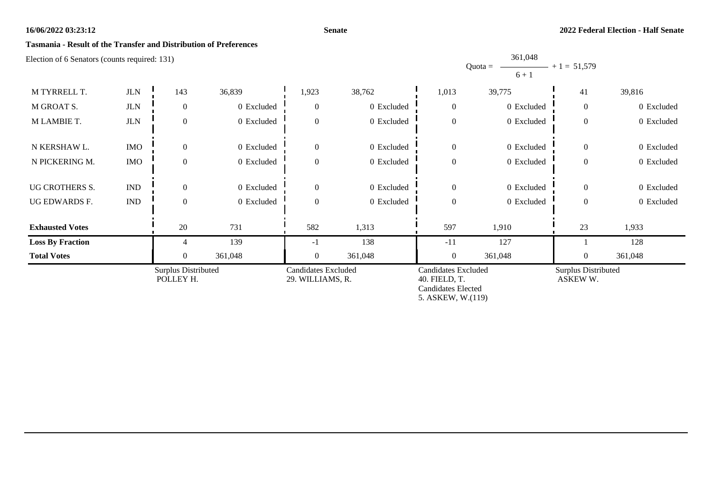## **Tasmania - Result of the Transfer and Distribution of Preferences**

Election of 6 Senators (counts required: 131)

M TYRRELL T. JLN 1 143 36,839 1,923 38,762 1,013 39,775 1 41 39,816 M GROAT S. JLN 0 0 Excluded 0 0 Excluded 0 0 Excluded 0 0 D and 0 0 Excluded 0 0 Excluded 0 0 0 0 0 Excluded M LAMBIE T. JUN 0 0 Excluded 0 0 Excluded 0 0 Excluded 0 0 D xcluded 0 0 Excluded 0 0 0 0 0 0 0 0 0 0 0 0 0 Excluded N KERSHAW L. IMO 0 0 0 Excluded 0 0 0 D 0 Excluded 0 0 D 0 Excluded 0 0 D xcluded 0 0 0 0 0 D xcluded N PICKERING M. IMO 0 0 0 Excluded 0 0 0 0 Excluded 0 0 Discluded 0 0 Discluded 0 0 Discluded 0 0 0 0 0 Discluded UG CROTHERS S. IND 0 0 Excluded 0 0 Dexcluded 1 0 0 Dexcluded 1 0 0 Dexcluded 0 0 Excluded 0 0 0 0 0 0 Excluded UG EDWARDS F. IND 0 0 Excluded 0 0 Excluded 0 0 Excluded 0 0 Excluded 0 0 Excluded 0 0 0 0 0 0 0 0 Excluded **Exhausted Votes** 1 20 731 1 582 1,313 1,953 1,910 1 23 1,933 **Loss By Fraction** 1 139 139 -1 138 -11 127 138 128 **Total Votes** 1 0 361,048 1 0 361,048 0 361,048 1 0 361,048 0 361,048 0 361,048 Surplus Distributed POLLEY H. Candidates Excluded 29. WILLIAMS, R. Candidates Excluded 40. FIELD, T. Candidates Elected 5. ASKEW, W.(119) Surplus Distributed ASKEW W.

**2022 Federal Election - Half Senate**

**Senate**

 $Quota =$ 361,048  $6 + 1$  $- + 1 = 51,579$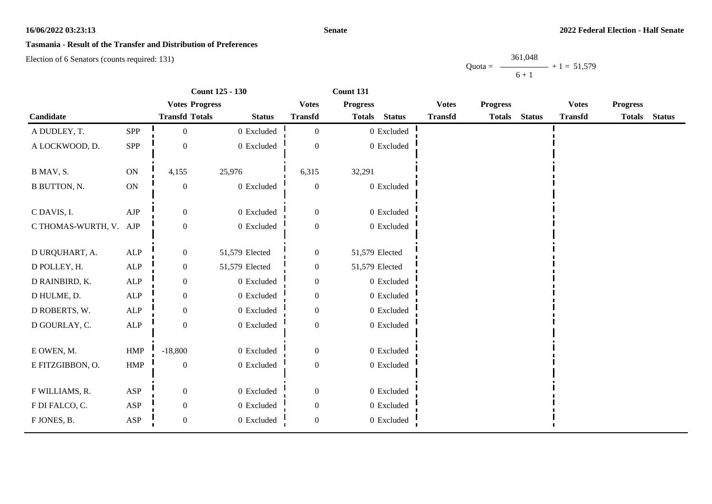## **Senate**

# **Tasmania - Result of the Transfer and Distribution of Preferences**

Election of 6 Senators (counts required: 131)

Quota = 361,048  $6 + 1$  $+ 1 = 51,579$ 

|                        |              | <b>Count 125 - 130</b> |                       |                  | Count 131       |               |                |                 |               |                |                 |               |
|------------------------|--------------|------------------------|-----------------------|------------------|-----------------|---------------|----------------|-----------------|---------------|----------------|-----------------|---------------|
|                        |              |                        | <b>Votes Progress</b> |                  | <b>Progress</b> |               | <b>Votes</b>   | <b>Progress</b> |               | <b>Votes</b>   | <b>Progress</b> |               |
| Candidate              |              | <b>Transfd Totals</b>  | <b>Status</b>         | <b>Transfd</b>   | <b>Totals</b>   | <b>Status</b> | <b>Transfd</b> | <b>Totals</b>   | <b>Status</b> | <b>Transfd</b> | <b>Totals</b>   | <b>Status</b> |
| A DUDLEY, T.           | SPP          | $\boldsymbol{0}$       | 0 Excluded            | $\boldsymbol{0}$ |                 | $0$ Excluded  |                |                 |               |                |                 |               |
| A LOCKWOOD, D.         | SPP          | $\overline{0}$         | 0 Excluded            | $\theta$         |                 | 0 Excluded    |                |                 |               |                |                 |               |
| B MAV, S.              | ON           | 4,155                  | 25,976                | 6,315            | 32,291          |               |                |                 |               |                |                 |               |
| <b>B BUTTON, N.</b>    | ON           | $\boldsymbol{0}$       | 0 Excluded            | $\mathbf{0}$     |                 | 0 Excluded    |                |                 |               |                |                 |               |
| C DAVIS, I.            | AJP          | $\overline{0}$         | 0 Excluded            | $\mathbf{0}$     |                 | 0 Excluded    |                |                 |               |                |                 |               |
| C THOMAS-WURTH, V. AJP |              | $\mathbf{0}$           | 0 Excluded            | $\boldsymbol{0}$ |                 | 0 Excluded    |                |                 |               |                |                 |               |
| D URQUHART, A.         | ALP          | $\boldsymbol{0}$       | 51,579 Elected        | $\boldsymbol{0}$ | 51,579 Elected  |               |                |                 |               |                |                 |               |
| D POLLEY, H.           | ALP          | $\boldsymbol{0}$       | 51,579 Elected        | $\mathbf{0}$     | 51,579 Elected  |               |                |                 |               |                |                 |               |
| D RAINBIRD, K.         | ALP          | $\overline{0}$         | 0 Excluded            | $\overline{0}$   |                 | 0 Excluded    |                |                 |               |                |                 |               |
| D HULME, D.            | $\mbox{ALP}$ | $\mathbf{0}$           | 0 Excluded            | $\boldsymbol{0}$ |                 | 0 Excluded    |                |                 |               |                |                 |               |
| D ROBERTS, W.          | ALP          | $\boldsymbol{0}$       | 0 Excluded            | $\boldsymbol{0}$ |                 | 0 Excluded    |                |                 |               |                |                 |               |
| D GOURLAY, C.          | ALP          | $\boldsymbol{0}$       | 0 Excluded            | $\boldsymbol{0}$ |                 | 0 Excluded    |                |                 |               |                |                 |               |
| E OWEN, M.             | HMP          | $-18,800$              | 0 Excluded            | $\mathbf{0}$     |                 | 0 Excluded    |                |                 |               |                |                 |               |
| E FITZGIBBON, O.       | HMP          | $\mathbf{0}$           | 0 Excluded            | $\boldsymbol{0}$ |                 | 0 Excluded    |                |                 |               |                |                 |               |
| F WILLIAMS, R.         | ASP          | $\overline{0}$         | 0 Excluded            | $\mathbf{0}$     |                 | 0 Excluded    |                |                 |               |                |                 |               |
| F DI FALCO, C.         | ASP          | $\overline{0}$         | 0 Excluded            | $\mathbf{0}$     |                 | 0 Excluded    |                |                 |               |                |                 |               |
| F JONES, B.            | ASP          | $\boldsymbol{0}$       | 0 Excluded            | $\mathbf{0}$     |                 | 0 Excluded    |                |                 |               |                |                 |               |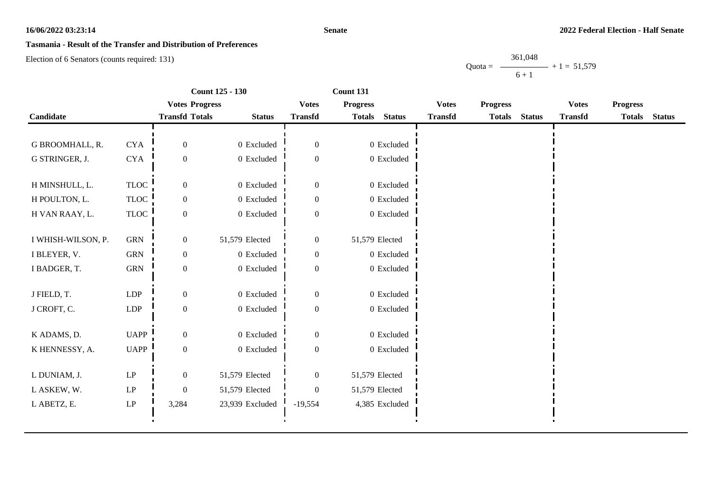## **Senate**

# **Tasmania - Result of the Transfer and Distribution of Preferences**

Election of 6 Senators (counts required: 131)

Quota = 361,048  $6 + 1$  $+ 1 = 51,579$ 

|                    | <b>Count 125 - 130</b>     |                       | Count 131       |                  |                 |                |                |                 |               |                |                 |               |
|--------------------|----------------------------|-----------------------|-----------------|------------------|-----------------|----------------|----------------|-----------------|---------------|----------------|-----------------|---------------|
|                    |                            | <b>Votes Progress</b> |                 | <b>Votes</b>     | <b>Progress</b> |                | <b>Votes</b>   | <b>Progress</b> |               | <b>Votes</b>   | <b>Progress</b> |               |
| Candidate          |                            | <b>Transfd Totals</b> | <b>Status</b>   | <b>Transfd</b>   | <b>Totals</b>   | <b>Status</b>  | <b>Transfd</b> | <b>Totals</b>   | <b>Status</b> | <b>Transfd</b> | <b>Totals</b>   | <b>Status</b> |
|                    |                            |                       |                 |                  |                 |                |                |                 |               |                |                 |               |
| G BROOMHALL, R.    | <b>CYA</b>                 | $\overline{0}$        | 0 Excluded      | $\boldsymbol{0}$ |                 | 0 Excluded     |                |                 |               |                |                 |               |
| G STRINGER, J.     | <b>CYA</b>                 | $\overline{0}$        | 0 Excluded      | $\boldsymbol{0}$ |                 | $0$ Excluded   |                |                 |               |                |                 |               |
|                    |                            |                       |                 |                  |                 |                |                |                 |               |                |                 |               |
| H MINSHULL, L.     | <b>TLOC</b>                | $\boldsymbol{0}$      | 0 Excluded      | $\boldsymbol{0}$ |                 | 0 Excluded     |                |                 |               |                |                 |               |
| H POULTON, L.      | <b>TLOC</b>                | $\overline{0}$        | 0 Excluded      | $\overline{0}$   |                 | $0$ Excluded   |                |                 |               |                |                 |               |
| H VAN RAAY, L.     | <b>TLOC</b>                | $\boldsymbol{0}$      | 0 Excluded      | $\boldsymbol{0}$ |                 | 0 Excluded     |                |                 |               |                |                 |               |
|                    |                            |                       |                 |                  |                 |                |                |                 |               |                |                 |               |
| I WHISH-WILSON, P. | <b>GRN</b>                 | $\boldsymbol{0}$      | 51,579 Elected  | $\boldsymbol{0}$ | 51,579 Elected  |                |                |                 |               |                |                 |               |
| I BLEYER, V.       | <b>GRN</b>                 | $\overline{0}$        | 0 Excluded      | $\overline{0}$   |                 | 0 Excluded     |                |                 |               |                |                 |               |
| I BADGER, T.       | ${\rm GRN}$                | $\boldsymbol{0}$      | $0\,$ Excluded  | $\boldsymbol{0}$ |                 | $0$ Excluded   |                |                 |               |                |                 |               |
|                    |                            |                       |                 |                  |                 |                |                |                 |               |                |                 |               |
| J FIELD, T.        | <b>LDP</b>                 | $\overline{0}$        | 0 Excluded      | $\overline{0}$   |                 | $0$ Excluded   |                |                 |               |                |                 |               |
| J CROFT, C.        | <b>LDP</b>                 | $\boldsymbol{0}$      | $0\,$ Excluded  | $\overline{0}$   |                 | $0$ Excluded   |                |                 |               |                |                 |               |
|                    |                            |                       |                 |                  |                 |                |                |                 |               |                |                 |               |
| K ADAMS, D.        | <b>UAPP</b>                | $\overline{0}$        | 0 Excluded      | $\Omega$         |                 | 0 Excluded     |                |                 |               |                |                 |               |
| K HENNESSY, A.     | <b>UAPP</b>                | $\overline{0}$        | 0 Excluded      | $\boldsymbol{0}$ |                 | 0 Excluded     |                |                 |               |                |                 |               |
| L DUNIAM, J.       | $\operatorname{LP}$        | $\boldsymbol{0}$      | 51,579 Elected  | $\boldsymbol{0}$ | 51,579 Elected  |                |                |                 |               |                |                 |               |
|                    |                            |                       |                 |                  |                 |                |                |                 |               |                |                 |               |
| L ASKEW, W.        | $\ensuremath{\mathrm{LP}}$ | $\theta$              | 51,579 Elected  | $\Omega$         | 51,579 Elected  |                |                |                 |               |                |                 |               |
| L ABETZ, E.        | $\operatorname{LP}$        | 3,284                 | 23,939 Excluded | $-19,554$        |                 | 4,385 Excluded |                |                 |               |                |                 |               |
|                    |                            |                       |                 |                  |                 |                |                |                 |               |                |                 |               |